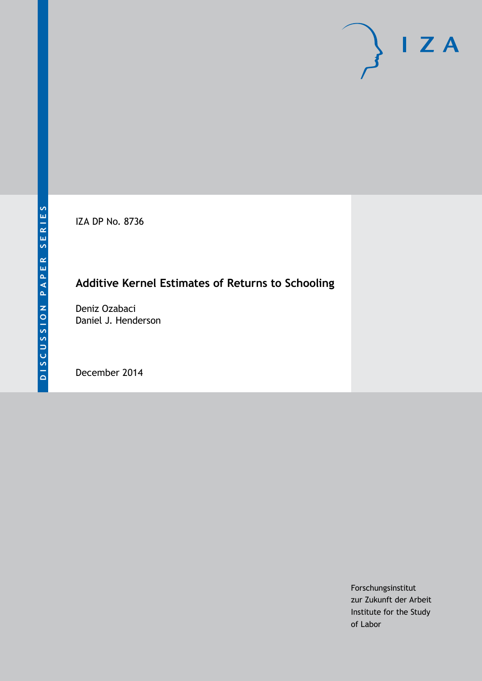IZA DP No. 8736

## **Additive Kernel Estimates of Returns to Schooling**

Deniz Ozabaci Daniel J. Henderson

December 2014

Forschungsinstitut zur Zukunft der Arbeit Institute for the Study of Labor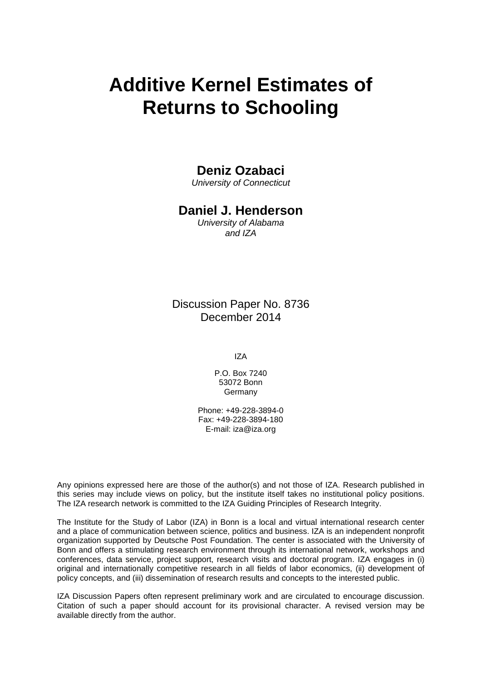# **Additive Kernel Estimates of Returns to Schooling**

## **Deniz Ozabaci**

*University of Connecticut*

## **Daniel J. Henderson**

*University of Alabama and IZA*

Discussion Paper No. 8736 December 2014

IZA

P.O. Box 7240 53072 Bonn Germany

Phone: +49-228-3894-0 Fax: +49-228-3894-180 E-mail: [iza@iza.org](mailto:iza@iza.org)

Any opinions expressed here are those of the author(s) and not those of IZA. Research published in this series may include views on policy, but the institute itself takes no institutional policy positions. The IZA research network is committed to the IZA Guiding Principles of Research Integrity.

The Institute for the Study of Labor (IZA) in Bonn is a local and virtual international research center and a place of communication between science, politics and business. IZA is an independent nonprofit organization supported by Deutsche Post Foundation. The center is associated with the University of Bonn and offers a stimulating research environment through its international network, workshops and conferences, data service, project support, research visits and doctoral program. IZA engages in (i) original and internationally competitive research in all fields of labor economics, (ii) development of policy concepts, and (iii) dissemination of research results and concepts to the interested public.

<span id="page-1-0"></span>IZA Discussion Papers often represent preliminary work and are circulated to encourage discussion. Citation of such a paper should account for its provisional character. A revised version may be available directly from the author.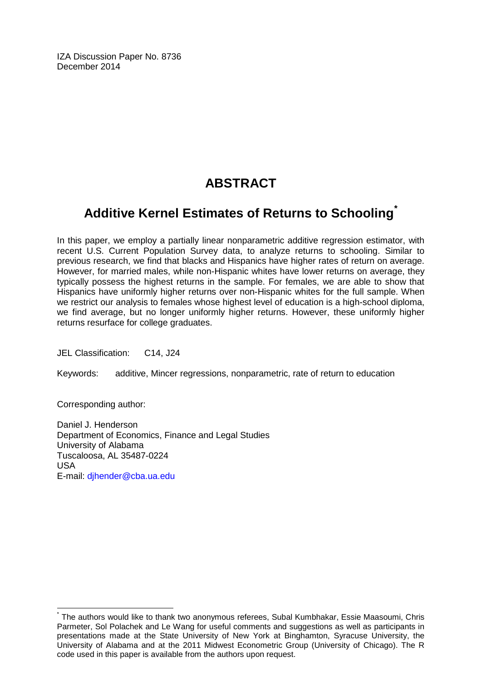IZA Discussion Paper No. 8736 December 2014

## **ABSTRACT**

## **Additive Kernel Estimates of Returns to Schooling[\\*](#page-1-0)**

In this paper, we employ a partially linear nonparametric additive regression estimator, with recent U.S. Current Population Survey data, to analyze returns to schooling. Similar to previous research, we find that blacks and Hispanics have higher rates of return on average. However, for married males, while non-Hispanic whites have lower returns on average, they typically possess the highest returns in the sample. For females, we are able to show that Hispanics have uniformly higher returns over non-Hispanic whites for the full sample. When we restrict our analysis to females whose highest level of education is a high-school diploma, we find average, but no longer uniformly higher returns. However, these uniformly higher returns resurface for college graduates.

JEL Classification: C14, J24

Keywords: additive, Mincer regressions, nonparametric, rate of return to education

Corresponding author:

Daniel J. Henderson Department of Economics, Finance and Legal Studies University of Alabama Tuscaloosa, AL 35487-0224 USA E-mail: [djhender@cba.ua.edu](mailto:djhender@cba.ua.edu)

\* The authors would like to thank two anonymous referees, Subal Kumbhakar, Essie Maasoumi, Chris Parmeter, Sol Polachek and Le Wang for useful comments and suggestions as well as participants in presentations made at the State University of New York at Binghamton, Syracuse University, the University of Alabama and at the 2011 Midwest Econometric Group (University of Chicago). The R code used in this paper is available from the authors upon request.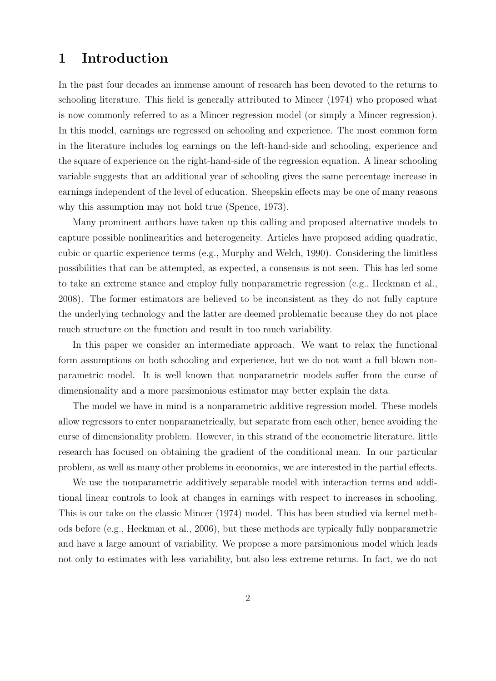## 1 Introduction

In the past four decades an immense amount of research has been devoted to the returns to schooling literature. This field is generally attributed to Mincer (1974) who proposed what is now commonly referred to as a Mincer regression model (or simply a Mincer regression). In this model, earnings are regressed on schooling and experience. The most common form in the literature includes log earnings on the left-hand-side and schooling, experience and the square of experience on the right-hand-side of the regression equation. A linear schooling variable suggests that an additional year of schooling gives the same percentage increase in earnings independent of the level of education. Sheepskin effects may be one of many reasons why this assumption may not hold true (Spence, 1973).

Many prominent authors have taken up this calling and proposed alternative models to capture possible nonlinearities and heterogeneity. Articles have proposed adding quadratic, cubic or quartic experience terms (e.g., Murphy and Welch, 1990). Considering the limitless possibilities that can be attempted, as expected, a consensus is not seen. This has led some to take an extreme stance and employ fully nonparametric regression (e.g., Heckman et al., 2008). The former estimators are believed to be inconsistent as they do not fully capture the underlying technology and the latter are deemed problematic because they do not place much structure on the function and result in too much variability.

In this paper we consider an intermediate approach. We want to relax the functional form assumptions on both schooling and experience, but we do not want a full blown nonparametric model. It is well known that nonparametric models suffer from the curse of dimensionality and a more parsimonious estimator may better explain the data.

The model we have in mind is a nonparametric additive regression model. These models allow regressors to enter nonparametrically, but separate from each other, hence avoiding the curse of dimensionality problem. However, in this strand of the econometric literature, little research has focused on obtaining the gradient of the conditional mean. In our particular problem, as well as many other problems in economics, we are interested in the partial effects.

We use the nonparametric additively separable model with interaction terms and additional linear controls to look at changes in earnings with respect to increases in schooling. This is our take on the classic Mincer (1974) model. This has been studied via kernel methods before (e.g., Heckman et al., 2006), but these methods are typically fully nonparametric and have a large amount of variability. We propose a more parsimonious model which leads not only to estimates with less variability, but also less extreme returns. In fact, we do not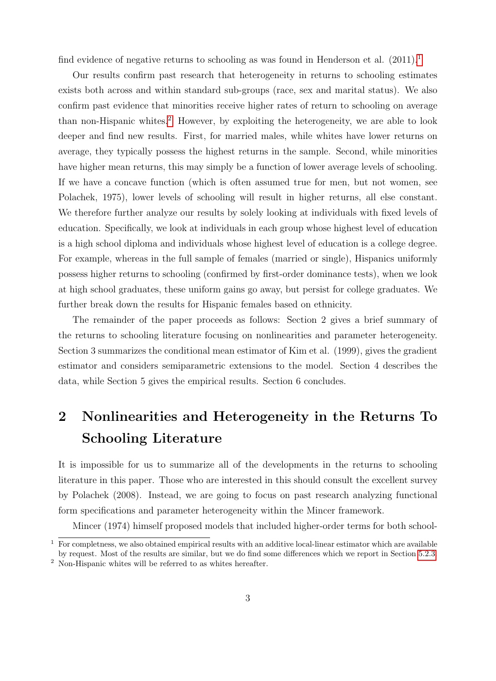find evidence of negative returns to schooling as was found in Henderson et al.  $(2011).$  $(2011).$  $(2011).$ <sup>1</sup>

Our results confirm past research that heterogeneity in returns to schooling estimates exists both across and within standard sub-groups (race, sex and marital status). We also confirm past evidence that minorities receive higher rates of return to schooling on average than non-Hispanic whites.<sup>[2](#page--1-0)</sup> However, by exploiting the heterogeneity, we are able to look deeper and find new results. First, for married males, while whites have lower returns on average, they typically possess the highest returns in the sample. Second, while minorities have higher mean returns, this may simply be a function of lower average levels of schooling. If we have a concave function (which is often assumed true for men, but not women, see Polachek, 1975), lower levels of schooling will result in higher returns, all else constant. We therefore further analyze our results by solely looking at individuals with fixed levels of education. Specifically, we look at individuals in each group whose highest level of education is a high school diploma and individuals whose highest level of education is a college degree. For example, whereas in the full sample of females (married or single), Hispanics uniformly possess higher returns to schooling (confirmed by first-order dominance tests), when we look at high school graduates, these uniform gains go away, but persist for college graduates. We further break down the results for Hispanic females based on ethnicity.

The remainder of the paper proceeds as follows: Section 2 gives a brief summary of the returns to schooling literature focusing on nonlinearities and parameter heterogeneity. Section 3 summarizes the conditional mean estimator of Kim et al. (1999), gives the gradient estimator and considers semiparametric extensions to the model. Section 4 describes the data, while Section 5 gives the empirical results. Section 6 concludes.

## 2 Nonlinearities and Heterogeneity in the Returns To Schooling Literature

It is impossible for us to summarize all of the developments in the returns to schooling literature in this paper. Those who are interested in this should consult the excellent survey by Polachek (2008). Instead, we are going to focus on past research analyzing functional form specifications and parameter heterogeneity within the Mincer framework.

Mincer (1974) himself proposed models that included higher-order terms for both school-

 $1$  For completness, we also obtained empirical results with an additive local-linear estimator which are available by request. Most of the results are similar, but we do find some differences which we report in Section [5.2.3.](#page-21-0)

<sup>2</sup> Non-Hispanic whites will be referred to as whites hereafter.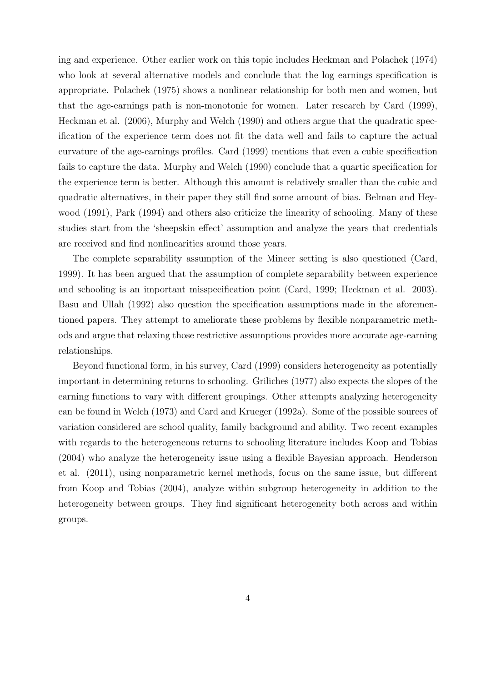ing and experience. Other earlier work on this topic includes Heckman and Polachek (1974) who look at several alternative models and conclude that the log earnings specification is appropriate. Polachek (1975) shows a nonlinear relationship for both men and women, but that the age-earnings path is non-monotonic for women. Later research by Card (1999), Heckman et al. (2006), Murphy and Welch (1990) and others argue that the quadratic specification of the experience term does not fit the data well and fails to capture the actual curvature of the age-earnings profiles. Card (1999) mentions that even a cubic specification fails to capture the data. Murphy and Welch (1990) conclude that a quartic specification for the experience term is better. Although this amount is relatively smaller than the cubic and quadratic alternatives, in their paper they still find some amount of bias. Belman and Heywood (1991), Park (1994) and others also criticize the linearity of schooling. Many of these studies start from the 'sheepskin effect' assumption and analyze the years that credentials are received and find nonlinearities around those years.

The complete separability assumption of the Mincer setting is also questioned (Card, 1999). It has been argued that the assumption of complete separability between experience and schooling is an important misspecification point (Card, 1999; Heckman et al. 2003). Basu and Ullah (1992) also question the specification assumptions made in the aforementioned papers. They attempt to ameliorate these problems by flexible nonparametric methods and argue that relaxing those restrictive assumptions provides more accurate age-earning relationships.

Beyond functional form, in his survey, Card (1999) considers heterogeneity as potentially important in determining returns to schooling. Griliches (1977) also expects the slopes of the earning functions to vary with different groupings. Other attempts analyzing heterogeneity can be found in Welch (1973) and Card and Krueger (1992a). Some of the possible sources of variation considered are school quality, family background and ability. Two recent examples with regards to the heterogeneous returns to schooling literature includes Koop and Tobias (2004) who analyze the heterogeneity issue using a flexible Bayesian approach. Henderson et al. (2011), using nonparametric kernel methods, focus on the same issue, but different from Koop and Tobias (2004), analyze within subgroup heterogeneity in addition to the heterogeneity between groups. They find significant heterogeneity both across and within groups.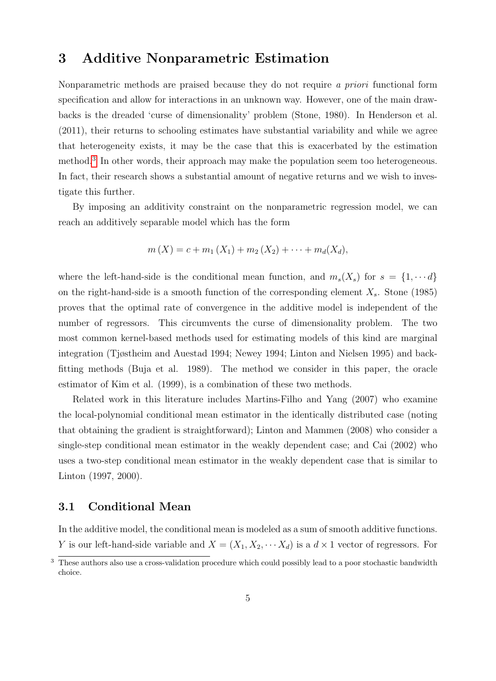## 3 Additive Nonparametric Estimation

Nonparametric methods are praised because they do not require a *priori* functional form specification and allow for interactions in an unknown way. However, one of the main drawbacks is the dreaded 'curse of dimensionality' problem (Stone, 1980). In Henderson et al. (2011), their returns to schooling estimates have substantial variability and while we agree that heterogeneity exists, it may be the case that this is exacerbated by the estimation method.<sup>[3](#page--1-0)</sup> In other words, their approach may make the population seem too heterogeneous. In fact, their research shows a substantial amount of negative returns and we wish to investigate this further.

By imposing an additivity constraint on the nonparametric regression model, we can reach an additively separable model which has the form

$$
m(X) = c + m_1(X_1) + m_2(X_2) + \cdots + m_d(X_d),
$$

where the left-hand-side is the conditional mean function, and  $m_s(X_s)$  for  $s = \{1, \dots d\}$ on the right-hand-side is a smooth function of the corresponding element  $X_s$ . Stone (1985) proves that the optimal rate of convergence in the additive model is independent of the number of regressors. This circumvents the curse of dimensionality problem. The two most common kernel-based methods used for estimating models of this kind are marginal integration (Tjøstheim and Auestad 1994; Newey 1994; Linton and Nielsen 1995) and backfitting methods (Buja et al. 1989). The method we consider in this paper, the oracle estimator of Kim et al. (1999), is a combination of these two methods.

Related work in this literature includes Martins-Filho and Yang (2007) who examine the local-polynomial conditional mean estimator in the identically distributed case (noting that obtaining the gradient is straightforward); Linton and Mammen (2008) who consider a single-step conditional mean estimator in the weakly dependent case; and Cai (2002) who uses a two-step conditional mean estimator in the weakly dependent case that is similar to Linton (1997, 2000).

### 3.1 Conditional Mean

In the additive model, the conditional mean is modeled as a sum of smooth additive functions. Y is our left-hand-side variable and  $X = (X_1, X_2, \cdots X_d)$  is a  $d \times 1$  vector of regressors. For

<sup>3</sup> These authors also use a cross-validation procedure which could possibly lead to a poor stochastic bandwidth choice.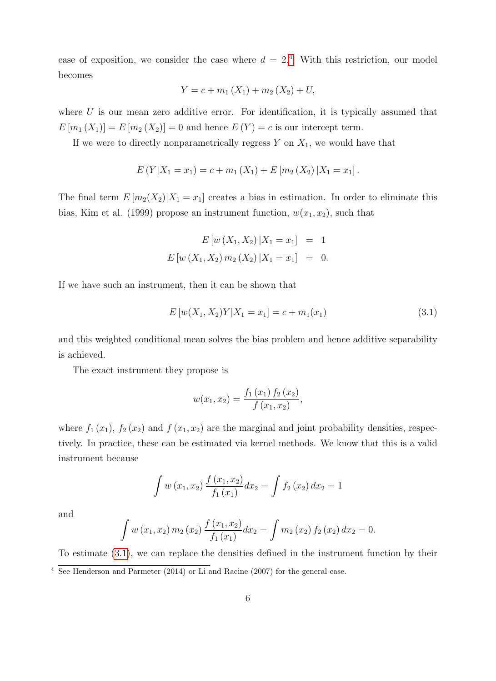ease of exposition, we consider the case where  $d = 2<sup>4</sup>$  $d = 2<sup>4</sup>$  $d = 2<sup>4</sup>$  With this restriction, our model becomes

$$
Y = c + m_1(X_1) + m_2(X_2) + U,
$$

where  $U$  is our mean zero additive error. For identification, it is typically assumed that  $E[m_1(X_1)] = E[m_2(X_2)] = 0$  and hence  $E(Y) = c$  is our intercept term.

If we were to directly nonparametrically regress  $Y$  on  $X_1$ , we would have that

$$
E(Y|X_1 = x_1) = c + m_1(X_1) + E[m_2(X_2)|X_1 = x_1].
$$

The final term  $E[m_2(X_2)|X_1=x_1]$  creates a bias in estimation. In order to eliminate this bias, Kim et al. (1999) propose an instrument function,  $w(x_1, x_2)$ , such that

$$
E[w(X_1, X_2) | X_1 = x_1] = 1
$$
  

$$
E[w(X_1, X_2) m_2(X_2) | X_1 = x_1] = 0.
$$

If we have such an instrument, then it can be shown that

<span id="page-7-0"></span>
$$
E[w(X_1, X_2)Y|X_1 = x_1] = c + m_1(x_1)
$$
\n(3.1)

and this weighted conditional mean solves the bias problem and hence additive separability is achieved.

The exact instrument they propose is

$$
w(x_1, x_2) = \frac{f_1(x_1) f_2(x_2)}{f(x_1, x_2)},
$$

where  $f_1(x_1)$ ,  $f_2(x_2)$  and  $f(x_1, x_2)$  are the marginal and joint probability densities, respectively. In practice, these can be estimated via kernel methods. We know that this is a valid instrument because

$$
\int w(x_1, x_2) \frac{f(x_1, x_2)}{f_1(x_1)} dx_2 = \int f_2(x_2) dx_2 = 1
$$

and

$$
\int w(x_1, x_2) m_2(x_2) \frac{f(x_1, x_2)}{f_1(x_1)} dx_2 = \int m_2(x_2) f_2(x_2) dx_2 = 0.
$$

To estimate [\(3.1\)](#page-7-0), we can replace the densities defined in the instrument function by their <sup>4</sup> See Henderson and Parmeter (2014) or Li and Racine (2007) for the general case.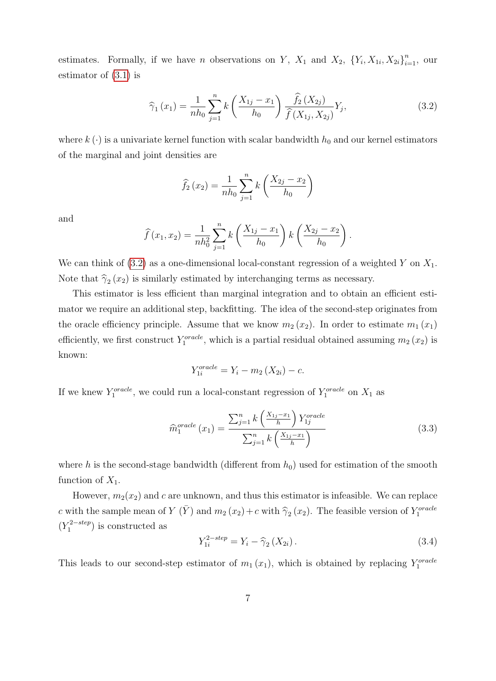estimates. Formally, if we have *n* observations on Y,  $X_1$  and  $X_2$ ,  $\{Y_i, X_{1i}, X_{2i}\}_{i=1}^n$ , our estimator of [\(3.1\)](#page-7-0) is

<span id="page-8-0"></span>
$$
\widehat{\gamma}_1(x_1) = \frac{1}{nh_0} \sum_{j=1}^n k\left(\frac{X_{1j} - x_1}{h_0}\right) \frac{\widehat{f}_2(X_{2j})}{\widehat{f}(X_{1j}, X_{2j})} Y_j, \tag{3.2}
$$

where  $k(\cdot)$  is a univariate kernel function with scalar bandwidth  $h_0$  and our kernel estimators of the marginal and joint densities are

$$
\hat{f}_2(x_2) = \frac{1}{nh_0} \sum_{j=1}^{n} k \left( \frac{X_{2j} - x_2}{h_0} \right)
$$

and

$$
\widehat{f}(x_1, x_2) = \frac{1}{nh_0^2} \sum_{j=1}^n k\left(\frac{X_{1j} - x_1}{h_0}\right) k\left(\frac{X_{2j} - x_2}{h_0}\right).
$$

We can think of  $(3.2)$  as a one-dimensional local-constant regression of a weighted Y on  $X_1$ . Note that  $\hat{\gamma}_2(x_2)$  is similarly estimated by interchanging terms as necessary.

This estimator is less efficient than marginal integration and to obtain an efficient estimator we require an additional step, backfitting. The idea of the second-step originates from the oracle efficiency principle. Assume that we know  $m_2(x_2)$ . In order to estimate  $m_1(x_1)$ efficiently, we first construct  $Y_1^{oracle}$ , which is a partial residual obtained assuming  $m_2(x_2)$  is known:

$$
Y_{1i}^{oracle} = Y_i - m_2 (X_{2i}) - c.
$$

If we knew  $Y_1^{oracle}$ , we could run a local-constant regression of  $Y_1^{oracle}$  on  $X_1$  as

<span id="page-8-1"></span>
$$
\widehat{m}_1^{oracle}(x_1) = \frac{\sum_{j=1}^n k\left(\frac{X_{1j} - x_1}{h}\right) Y_{1j}^{oracle}}{\sum_{j=1}^n k\left(\frac{X_{1j} - x_1}{h}\right)}
$$
(3.3)

where h is the second-stage bandwidth (different from  $h_0$ ) used for estimation of the smooth function of  $X_1$ .

However,  $m_2(x_2)$  and c are unknown, and thus this estimator is infeasible. We can replace c with the sample mean of Y  $(\bar{Y})$  and  $m_2(x_2) + c$  with  $\hat{\gamma}_2(x_2)$ . The feasible version of  $Y_1^{oracle}$  $(Y_1^{2-step}$  $i^{2-step}$  is constructed as

$$
Y_{1i}^{2-step} = Y_i - \hat{\gamma}_2 \left( X_{2i} \right). \tag{3.4}
$$

This leads to our second-step estimator of  $m_1(x_1)$ , which is obtained by replacing  $Y_1^{oracle}$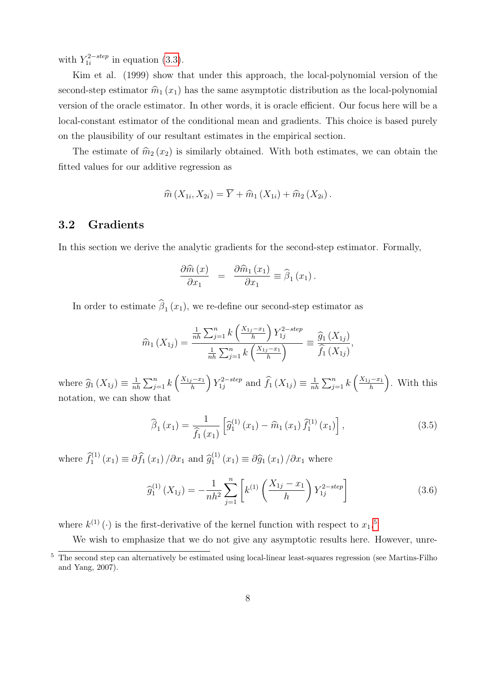with  $Y_{1i}^{2-step}$  $t_1^{2-step}$  in equation [\(3.3\)](#page-8-1).

Kim et al. (1999) show that under this approach, the local-polynomial version of the second-step estimator  $\hat{m}_1 (x_1)$  has the same asymptotic distribution as the local-polynomial version of the oracle estimator. In other words, it is oracle efficient. Our focus here will be a local-constant estimator of the conditional mean and gradients. This choice is based purely on the plausibility of our resultant estimates in the empirical section.

The estimate of  $\hat{m}_2 (x_2)$  is similarly obtained. With both estimates, we can obtain the fitted values for our additive regression as

$$
\widehat{m}\left(X_{1i}, X_{2i}\right) = \overline{Y} + \widehat{m}_1\left(X_{1i}\right) + \widehat{m}_2\left(X_{2i}\right).
$$

### 3.2 Gradients

In this section we derive the analytic gradients for the second-step estimator. Formally,

$$
\frac{\partial \widehat{m}(x)}{\partial x_1} = \frac{\partial \widehat{m}_1(x_1)}{\partial x_1} \equiv \widehat{\beta}_1(x_1).
$$

In order to estimate  $\beta_1(x_1)$ , we re-define our second-step estimator as

$$
\widehat{m}_1(X_{1j}) = \frac{\frac{1}{nh} \sum_{j=1}^n k\left(\frac{X_{1j} - x_1}{h}\right) Y_{1j}^{2 - step}}{\frac{1}{nh} \sum_{j=1}^n k\left(\frac{X_{1j} - x_1}{h}\right)} \equiv \frac{\widehat{g}_1(X_{1j})}{\widehat{f}_1(X_{1j})},
$$

where  $\widehat{g}_1(X_{1j}) \equiv \frac{1}{n!}$  $\frac{1}{nh}\sum_{j=1}^n k\left(\frac{X_{1j}-x_1}{h}\right)$  $\left(\frac{j-x_1}{h}\right)Y_{1j}^{2-step}$  $f_1^{2-step}$  and  $\hat{f}_1(X_{1j}) \equiv \frac{1}{n!}$  $\frac{1}{nh}\sum_{j=1}^n k\left(\frac{X_{1j}-x_1}{h}\right)$  $\frac{(-x_1}{h})$ . With this notation, we can show that

$$
\widehat{\beta}_{1}(x_{1}) = \frac{1}{\widehat{f}_{1}(x_{1})} \left[ \widehat{g}_{1}^{(1)}(x_{1}) - \widehat{m}_{1}(x_{1}) \widehat{f}_{1}^{(1)}(x_{1}) \right], \qquad (3.5)
$$

where  $\widehat{f}_1^{(1)}(x_1) \equiv \partial \widehat{f}_1(x_1) / \partial x_1$  and  $\widehat{g}_1^{(1)}$  $\hat{q}_1^{(1)}(x_1) \equiv \partial \hat{g}_1(x_1) / \partial x_1$  where

$$
\widehat{g}_1^{(1)}\left(X_{1j}\right) = -\frac{1}{nh^2} \sum_{j=1}^n \left[ k^{(1)} \left( \frac{X_{1j} - x_1}{h} \right) Y_{1j}^{2-step} \right] \tag{3.6}
$$

where  $k^{(1)}(\cdot)$  is the first-derivative of the kernel function with respect to  $x_1$ .<sup>[5](#page--1-0)</sup>

We wish to emphasize that we do not give any asymptotic results here. However, unre-

<sup>&</sup>lt;sup>5</sup> The second step can alternatively be estimated using local-linear least-squares regression (see Martins-Filho and Yang, 2007).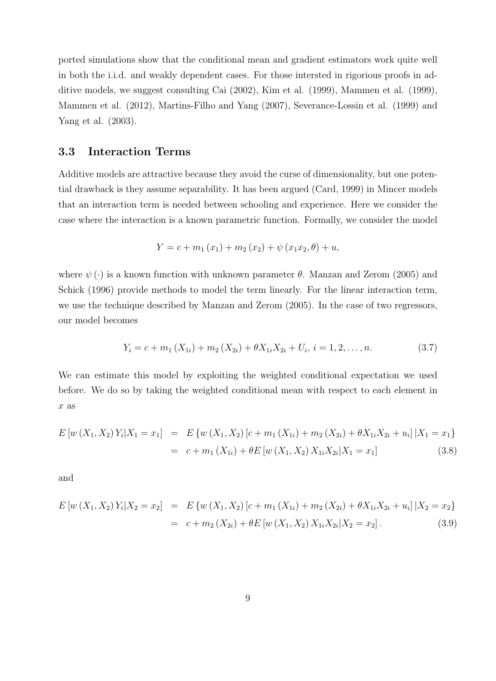ported simulations show that the conditional mean and gradient estimators work quite well in both the i.i.d. and weakly dependent cases. For those intersted in rigorious proofs in additive models, we suggest consulting Cai (2002), Kim et al. (1999), Mammen et al. (1999), Mammen et al. (2012), Martins-Filho and Yang (2007), Severance-Lossin et al. (1999) and Yang et al. (2003).

#### 3.3 Interaction Terms

Additive models are attractive because they avoid the curse of dimensionality, but one potential drawback is they assume separability. It has been argued (Card, 1999) in Mincer models that an interaction term is needed between schooling and experience. Here we consider the case where the interaction is a known parametric function. Formally, we consider the model

$$
Y = c + m_1(x_1) + m_2(x_2) + \psi(x_1x_2, \theta) + u,
$$

where  $\psi(\cdot)$  is a known function with unknown parameter  $\theta$ . Manzan and Zerom (2005) and Schick (1996) provide methods to model the term linearly. For the linear interaction term, we use the technique described by Manzan and Zerom (2005). In the case of two regressors, our model becomes

<span id="page-10-2"></span>
$$
Y_i = c + m_1(X_{1i}) + m_2(X_{2i}) + \theta X_{1i}X_{2i} + U_i, \, i = 1, 2, \dots, n. \tag{3.7}
$$

We can estimate this model by exploiting the weighted conditional expectation we used before. We do so by taking the weighted conditional mean with respect to each element in x as

<span id="page-10-0"></span>
$$
E\left[w\left(X_1, X_2\right)Y_i|X_1 = x_1\right] = E\left\{w\left(X_1, X_2\right)\left[c + m_1\left(X_{1i}\right) + m_2\left(X_{2i}\right) + \theta X_{1i}X_{2i} + u_i\right]|X_1 = x_1\right\}
$$
  
=  $c + m_1\left(X_{1i}\right) + \theta E\left[w\left(X_1, X_2\right)X_{1i}X_{2i}|X_1 = x_1\right]$  (3.8)

and

<span id="page-10-1"></span>
$$
E\left[w\left(X_1, X_2\right)Y_i|X_2 = x_2\right] = E\left\{w\left(X_1, X_2\right)\left[c + m_1\left(X_{1i}\right) + m_2\left(X_{2i}\right) + \theta X_{1i}X_{2i} + u_i\right]|X_2 = x_2\right\}
$$
  
=  $c + m_2\left(X_{2i}\right) + \theta E\left[w\left(X_1, X_2\right)X_{1i}X_{2i}|X_2 = x_2\right].$  (3.9)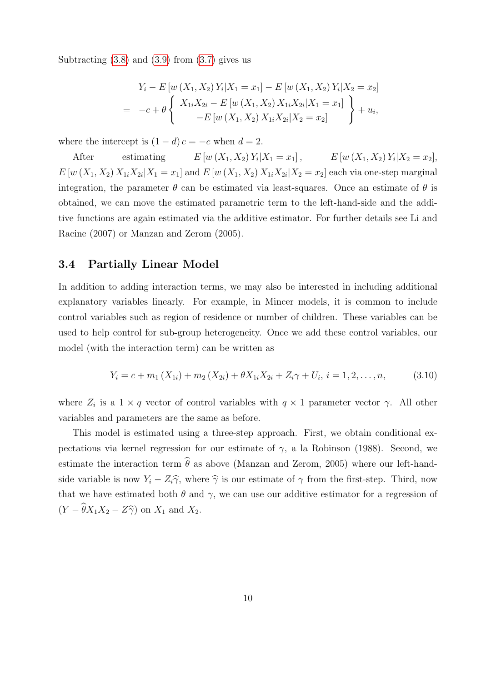Subtracting  $(3.8)$  and  $(3.9)$  from  $(3.7)$  gives us

$$
Y_i - E[w(X_1, X_2) Y_i | X_1 = x_1] - E[w(X_1, X_2) Y_i | X_2 = x_2]
$$
  
= 
$$
-c + \theta \begin{cases} X_{1i}X_{2i} - E[w(X_1, X_2) X_{1i}X_{2i} | X_1 = x_1] \\ -E[w(X_1, X_2) X_{1i}X_{2i} | X_2 = x_2] \end{cases} + u_i,
$$

where the intercept is  $(1 - d)c = -c$  when  $d = 2$ .

After estimating  $E[w(X_1, X_2)Y_i|X_1 = x_1],$   $E[w(X_1, X_2)Y_i|X_2 = x_2],$  $E[w(X_1, X_2) X_{1i}X_{2i}|X_1 = x_1]$  and  $E[w(X_1, X_2) X_{1i}X_{2i}|X_2 = x_2]$  each via one-step marginal integration, the parameter  $\theta$  can be estimated via least-squares. Once an estimate of  $\theta$  is obtained, we can move the estimated parametric term to the left-hand-side and the additive functions are again estimated via the additive estimator. For further details see Li and Racine (2007) or Manzan and Zerom (2005).

### 3.4 Partially Linear Model

In addition to adding interaction terms, we may also be interested in including additional explanatory variables linearly. For example, in Mincer models, it is common to include control variables such as region of residence or number of children. These variables can be used to help control for sub-group heterogeneity. Once we add these control variables, our model (with the interaction term) can be written as

<span id="page-11-0"></span>
$$
Y_i = c + m_1(X_{1i}) + m_2(X_{2i}) + \theta X_{1i}X_{2i} + Z_i\gamma + U_i, \, i = 1, 2, \dots, n,\tag{3.10}
$$

where  $Z_i$  is a  $1 \times q$  vector of control variables with  $q \times 1$  parameter vector  $\gamma$ . All other variables and parameters are the same as before.

This model is estimated using a three-step approach. First, we obtain conditional expectations via kernel regression for our estimate of  $\gamma$ , a la Robinson (1988). Second, we estimate the interaction term  $\hat{\theta}$  as above (Manzan and Zerom, 2005) where our left-handside variable is now  $Y_i - Z_i\hat{\gamma}$ , where  $\hat{\gamma}$  is our estimate of  $\gamma$  from the first-step. Third, now that we have estimated both  $\theta$  and  $\gamma$ , we can use our additive estimator for a regression of  $(Y - \widehat{\theta}X_1X_2 - Z\widehat{\gamma})$  on  $X_1$  and  $X_2$ .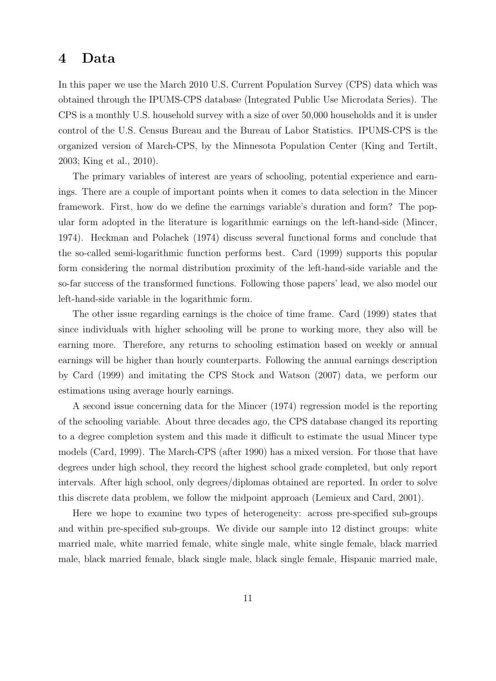### <span id="page-12-0"></span>4 Data

In this paper we use the March 2010 U.S. Current Population Survey (CPS) data which was obtained through the IPUMS-CPS database (Integrated Public Use Microdata Series). The CPS is a monthly U.S. household survey with a size of over 50,000 households and it is under control of the U.S. Census Bureau and the Bureau of Labor Statistics. IPUMS-CPS is the organized version of March-CPS, by the Minnesota Population Center (King and Tertilt, 2003; King et al., 2010).

The primary variables of interest are years of schooling, potential experience and earnings. There are a couple of important points when it comes to data selection in the Mincer framework. First, how do we define the earnings variable's duration and form? The popular form adopted in the literature is logarithmic earnings on the left-hand-side (Mincer, 1974). Heckman and Polachek (1974) discuss several functional forms and conclude that the so-called semi-logarithmic function performs best. Card (1999) supports this popular form considering the normal distribution proximity of the left-hand-side variable and the so-far success of the transformed functions. Following those papers' lead, we also model our left-hand-side variable in the logarithmic form.

The other issue regarding earnings is the choice of time frame. Card (1999) states that since individuals with higher schooling will be prone to working more, they also will be earning more. Therefore, any returns to schooling estimation based on weekly or annual earnings will be higher than hourly counterparts. Following the annual earnings description by Card (1999) and imitating the CPS Stock and Watson (2007) data, we perform our estimations using average hourly earnings.

A second issue concerning data for the Mincer (1974) regression model is the reporting of the schooling variable. About three decades ago, the CPS database changed its reporting to a degree completion system and this made it difficult to estimate the usual Mincer type models (Card, 1999). The March-CPS (after 1990) has a mixed version. For those that have degrees under high school, they record the highest school grade completed, but only report intervals. After high school, only degrees/diplomas obtained are reported. In order to solve this discrete data problem, we follow the midpoint approach (Lemieux and Card, 2001).

Here we hope to examine two types of heterogeneity: across pre-specified sub-groups and within pre-specified sub-groups. We divide our sample into 12 distinct groups: white married male, white married female, white single male, white single female, black married male, black married female, black single male, black single female, Hispanic married male,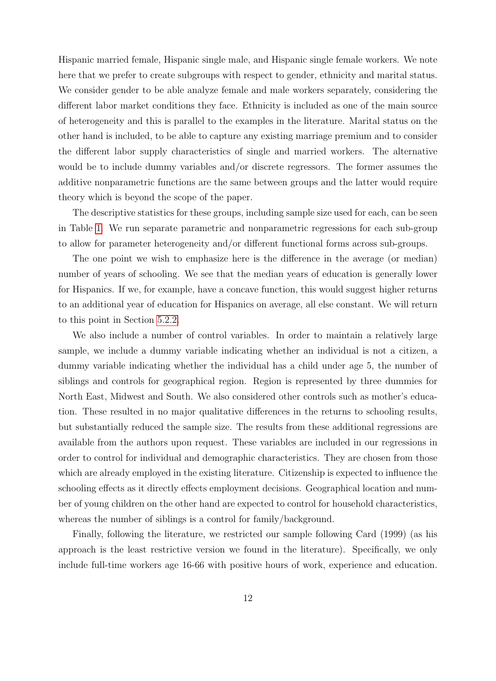Hispanic married female, Hispanic single male, and Hispanic single female workers. We note here that we prefer to create subgroups with respect to gender, ethnicity and marital status. We consider gender to be able analyze female and male workers separately, considering the different labor market conditions they face. Ethnicity is included as one of the main source of heterogeneity and this is parallel to the examples in the literature. Marital status on the other hand is included, to be able to capture any existing marriage premium and to consider the different labor supply characteristics of single and married workers. The alternative would be to include dummy variables and/or discrete regressors. The former assumes the additive nonparametric functions are the same between groups and the latter would require theory which is beyond the scope of the paper.

The descriptive statistics for these groups, including sample size used for each, can be seen in Table [1.](#page-35-0) We run separate parametric and nonparametric regressions for each sub-group to allow for parameter heterogeneity and/or different functional forms across sub-groups.

The one point we wish to emphasize here is the difference in the average (or median) number of years of schooling. We see that the median years of education is generally lower for Hispanics. If we, for example, have a concave function, this would suggest higher returns to an additional year of education for Hispanics on average, all else constant. We will return to this point in Section [5.2.2.](#page-18-0)

We also include a number of control variables. In order to maintain a relatively large sample, we include a dummy variable indicating whether an individual is not a citizen, a dummy variable indicating whether the individual has a child under age 5, the number of siblings and controls for geographical region. Region is represented by three dummies for North East, Midwest and South. We also considered other controls such as mother's education. These resulted in no major qualitative differences in the returns to schooling results, but substantially reduced the sample size. The results from these additional regressions are available from the authors upon request. These variables are included in our regressions in order to control for individual and demographic characteristics. They are chosen from those which are already employed in the existing literature. Citizenship is expected to influence the schooling effects as it directly effects employment decisions. Geographical location and number of young children on the other hand are expected to control for household characteristics, whereas the number of siblings is a control for family/background.

Finally, following the literature, we restricted our sample following Card (1999) (as his approach is the least restrictive version we found in the literature). Specifically, we only include full-time workers age 16-66 with positive hours of work, experience and education.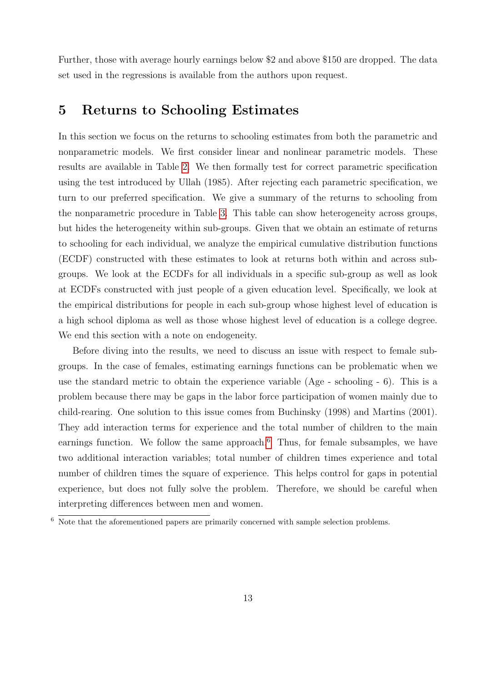Further, those with average hourly earnings below \$2 and above \$150 are dropped. The data set used in the regressions is available from the authors upon request.

## 5 Returns to Schooling Estimates

In this section we focus on the returns to schooling estimates from both the parametric and nonparametric models. We first consider linear and nonlinear parametric models. These results are available in Table [2.](#page-36-0) We then formally test for correct parametric specification using the test introduced by Ullah (1985). After rejecting each parametric specification, we turn to our preferred specification. We give a summary of the returns to schooling from the nonparametric procedure in Table [3.](#page-37-0) This table can show heterogeneity across groups, but hides the heterogeneity within sub-groups. Given that we obtain an estimate of returns to schooling for each individual, we analyze the empirical cumulative distribution functions (ECDF) constructed with these estimates to look at returns both within and across subgroups. We look at the ECDFs for all individuals in a specific sub-group as well as look at ECDFs constructed with just people of a given education level. Specifically, we look at the empirical distributions for people in each sub-group whose highest level of education is a high school diploma as well as those whose highest level of education is a college degree. We end this section with a note on endogeneity.

Before diving into the results, we need to discuss an issue with respect to female subgroups. In the case of females, estimating earnings functions can be problematic when we use the standard metric to obtain the experience variable (Age - schooling - 6). This is a problem because there may be gaps in the labor force participation of women mainly due to child-rearing. One solution to this issue comes from Buchinsky (1998) and Martins (2001). They add interaction terms for experience and the total number of children to the main earnings function. We follow the same approach.<sup>[6](#page--1-0)</sup> Thus, for female subsamples, we have two additional interaction variables; total number of children times experience and total number of children times the square of experience. This helps control for gaps in potential experience, but does not fully solve the problem. Therefore, we should be careful when interpreting differences between men and women.

 $\overline{6}$  Note that the aforementioned papers are primarily concerned with sample selection problems.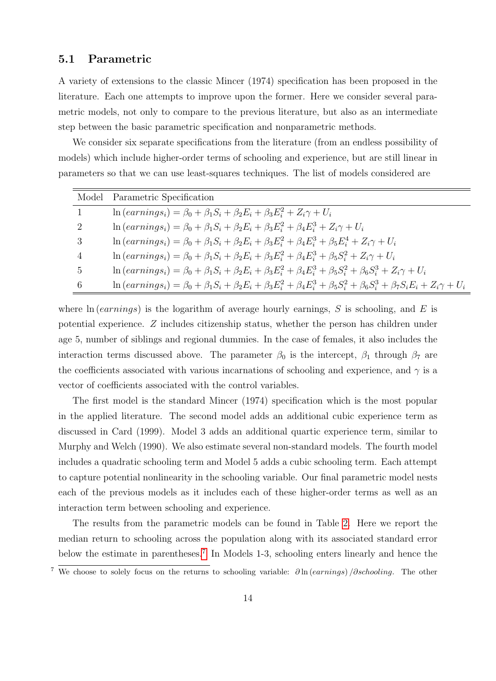#### 5.1 Parametric

A variety of extensions to the classic Mincer (1974) specification has been proposed in the literature. Each one attempts to improve upon the former. Here we consider several parametric models, not only to compare to the previous literature, but also as an intermediate step between the basic parametric specification and nonparametric methods.

We consider six separate specifications from the literature (from an endless possibility of models) which include higher-order terms of schooling and experience, but are still linear in parameters so that we can use least-squares techniques. The list of models considered are

|         | Model Parametric Specification                                                                                                                                |
|---------|---------------------------------------------------------------------------------------------------------------------------------------------------------------|
|         | $\ln (earnings_i) = \beta_0 + \beta_1 S_i + \beta_2 E_i + \beta_3 E_i^2 + Z_i \gamma + U_i$                                                                   |
| 2       | $\ln (earnings_i) = \beta_0 + \beta_1 S_i + \beta_2 E_i + \beta_3 E_i^2 + \beta_4 E_i^3 + Z_i \gamma + U_i$                                                   |
|         | $\ln (earnings_i) = \beta_0 + \beta_1 S_i + \beta_2 E_i + \beta_3 E_i^2 + \beta_4 E_i^3 + \beta_5 E_i^4 + Z_i \gamma + U_i$                                   |
|         | $\ln (earnings_i) = \beta_0 + \beta_1 S_i + \beta_2 E_i + \beta_3 E_i^2 + \beta_4 E_i^3 + \beta_5 S_i^2 + Z_i \gamma + U_i$                                   |
| $\cdot$ | $\ln (earnings_i) = \beta_0 + \beta_1 S_i + \beta_2 E_i + \beta_3 E_i^2 + \beta_4 E_i^3 + \beta_5 S_i^2 + \beta_6 S_i^3 + Z_i \gamma + U_i$                   |
|         | $\ln (earnings_i) = \beta_0 + \beta_1 S_i + \beta_2 E_i + \beta_3 E_i^2 + \beta_4 E_i^3 + \beta_5 S_i^2 + \beta_6 S_i^3 + \beta_7 S_i E_i + Z_i \gamma + U_i$ |

where  $ln(earning)$  is the logarithm of average hourly earnings, S is schooling, and E is potential experience. Z includes citizenship status, whether the person has children under age 5, number of siblings and regional dummies. In the case of females, it also includes the interaction terms discussed above. The parameter  $\beta_0$  is the intercept,  $\beta_1$  through  $\beta_7$  are the coefficients associated with various incarnations of schooling and experience, and  $\gamma$  is a vector of coefficients associated with the control variables.

The first model is the standard Mincer (1974) specification which is the most popular in the applied literature. The second model adds an additional cubic experience term as discussed in Card (1999). Model 3 adds an additional quartic experience term, similar to Murphy and Welch (1990). We also estimate several non-standard models. The fourth model includes a quadratic schooling term and Model 5 adds a cubic schooling term. Each attempt to capture potential nonlinearity in the schooling variable. Our final parametric model nests each of the previous models as it includes each of these higher-order terms as well as an interaction term between schooling and experience.

The results from the parametric models can be found in Table [2.](#page-36-0) Here we report the median return to schooling across the population along with its associated standard error below the estimate in parentheses.<sup>[7](#page--1-0)</sup> In Models 1-3, schooling enters linearly and hence the

<sup>&</sup>lt;sup>7</sup> We choose to solely focus on the returns to schooling variable:  $\partial \ln (earnings)/\partial schooling$ . The other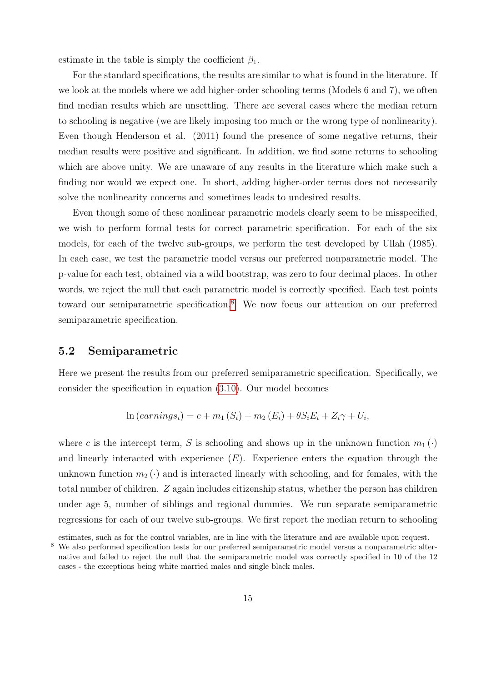estimate in the table is simply the coefficient  $\beta_1$ .

For the standard specifications, the results are similar to what is found in the literature. If we look at the models where we add higher-order schooling terms (Models 6 and 7), we often find median results which are unsettling. There are several cases where the median return to schooling is negative (we are likely imposing too much or the wrong type of nonlinearity). Even though Henderson et al. (2011) found the presence of some negative returns, their median results were positive and significant. In addition, we find some returns to schooling which are above unity. We are unaware of any results in the literature which make such a finding nor would we expect one. In short, adding higher-order terms does not necessarily solve the nonlinearity concerns and sometimes leads to undesired results.

Even though some of these nonlinear parametric models clearly seem to be misspecified, we wish to perform formal tests for correct parametric specification. For each of the six models, for each of the twelve sub-groups, we perform the test developed by Ullah (1985). In each case, we test the parametric model versus our preferred nonparametric model. The p-value for each test, obtained via a wild bootstrap, was zero to four decimal places. In other words, we reject the null that each parametric model is correctly specified. Each test points toward our semiparametric specification.[8](#page--1-0) We now focus our attention on our preferred semiparametric specification.

#### 5.2 Semiparametric

Here we present the results from our preferred semiparametric specification. Specifically, we consider the specification in equation [\(3.10\)](#page-11-0). Our model becomes

$$
\ln\left(earnings_i\right) = c + m_1\left(S_i\right) + m_2\left(E_i\right) + \theta S_i E_i + Z_i \gamma + U_i,
$$

where c is the intercept term, S is schooling and shows up in the unknown function  $m_1(\cdot)$ and linearly interacted with experience  $(E)$ . Experience enters the equation through the unknown function  $m_2(\cdot)$  and is interacted linearly with schooling, and for females, with the total number of children. Z again includes citizenship status, whether the person has children under age 5, number of siblings and regional dummies. We run separate semiparametric regressions for each of our twelve sub-groups. We first report the median return to schooling

estimates, such as for the control variables, are in line with the literature and are available upon request.

<sup>8</sup> We also performed specification tests for our preferred semiparametric model versus a nonparametric alternative and failed to reject the null that the semiparametric model was correctly specified in 10 of the 12 cases - the exceptions being white married males and single black males.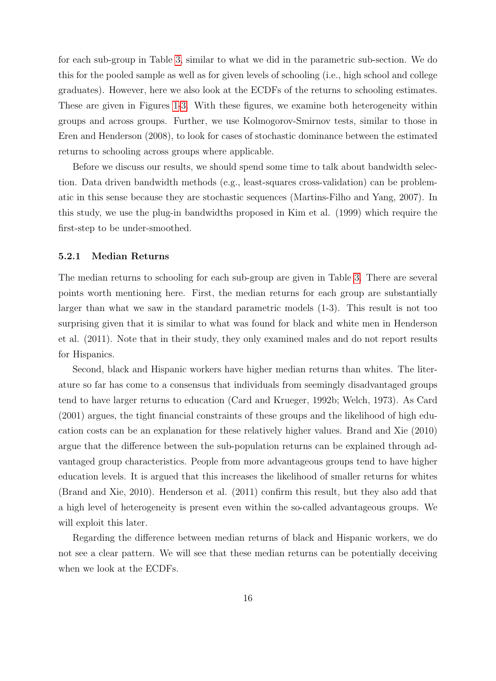for each sub-group in Table [3,](#page-37-0) similar to what we did in the parametric sub-section. We do this for the pooled sample as well as for given levels of schooling (i.e., high school and college graduates). However, here we also look at the ECDFs of the returns to schooling estimates. These are given in Figures [1-](#page-32-0)[3.](#page-34-0) With these figures, we examine both heterogeneity within groups and across groups. Further, we use Kolmogorov-Smirnov tests, similar to those in Eren and Henderson (2008), to look for cases of stochastic dominance between the estimated returns to schooling across groups where applicable.

Before we discuss our results, we should spend some time to talk about bandwidth selection. Data driven bandwidth methods (e.g., least-squares cross-validation) can be problematic in this sense because they are stochastic sequences (Martins-Filho and Yang, 2007). In this study, we use the plug-in bandwidths proposed in Kim et al. (1999) which require the first-step to be under-smoothed.

#### 5.2.1 Median Returns

The median returns to schooling for each sub-group are given in Table [3.](#page-37-0) There are several points worth mentioning here. First, the median returns for each group are substantially larger than what we saw in the standard parametric models (1-3). This result is not too surprising given that it is similar to what was found for black and white men in Henderson et al. (2011). Note that in their study, they only examined males and do not report results for Hispanics.

Second, black and Hispanic workers have higher median returns than whites. The literature so far has come to a consensus that individuals from seemingly disadvantaged groups tend to have larger returns to education (Card and Krueger, 1992b; Welch, 1973). As Card (2001) argues, the tight financial constraints of these groups and the likelihood of high education costs can be an explanation for these relatively higher values. Brand and Xie (2010) argue that the difference between the sub-population returns can be explained through advantaged group characteristics. People from more advantageous groups tend to have higher education levels. It is argued that this increases the likelihood of smaller returns for whites (Brand and Xie, 2010). Henderson et al. (2011) confirm this result, but they also add that a high level of heterogeneity is present even within the so-called advantageous groups. We will exploit this later.

Regarding the difference between median returns of black and Hispanic workers, we do not see a clear pattern. We will see that these median returns can be potentially deceiving when we look at the ECDFs.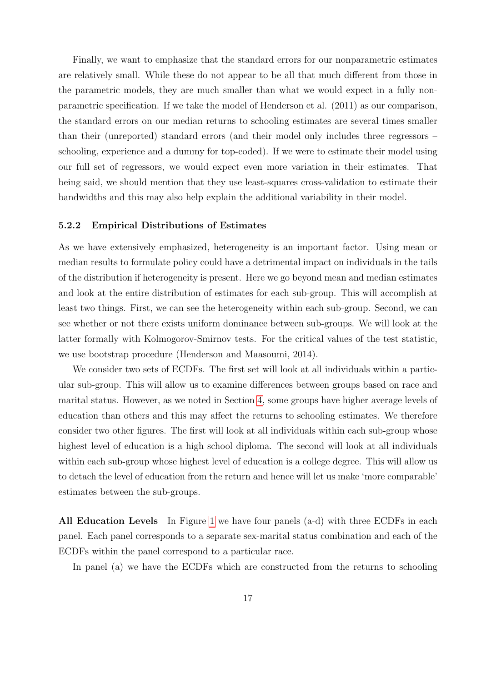Finally, we want to emphasize that the standard errors for our nonparametric estimates are relatively small. While these do not appear to be all that much different from those in the parametric models, they are much smaller than what we would expect in a fully nonparametric specification. If we take the model of Henderson et al. (2011) as our comparison, the standard errors on our median returns to schooling estimates are several times smaller than their (unreported) standard errors (and their model only includes three regressors – schooling, experience and a dummy for top-coded). If we were to estimate their model using our full set of regressors, we would expect even more variation in their estimates. That being said, we should mention that they use least-squares cross-validation to estimate their bandwidths and this may also help explain the additional variability in their model.

#### <span id="page-18-0"></span>5.2.2 Empirical Distributions of Estimates

As we have extensively emphasized, heterogeneity is an important factor. Using mean or median results to formulate policy could have a detrimental impact on individuals in the tails of the distribution if heterogeneity is present. Here we go beyond mean and median estimates and look at the entire distribution of estimates for each sub-group. This will accomplish at least two things. First, we can see the heterogeneity within each sub-group. Second, we can see whether or not there exists uniform dominance between sub-groups. We will look at the latter formally with Kolmogorov-Smirnov tests. For the critical values of the test statistic, we use bootstrap procedure (Henderson and Maasoumi, 2014).

We consider two sets of ECDFs. The first set will look at all individuals within a particular sub-group. This will allow us to examine differences between groups based on race and marital status. However, as we noted in Section [4,](#page-12-0) some groups have higher average levels of education than others and this may affect the returns to schooling estimates. We therefore consider two other figures. The first will look at all individuals within each sub-group whose highest level of education is a high school diploma. The second will look at all individuals within each sub-group whose highest level of education is a college degree. This will allow us to detach the level of education from the return and hence will let us make 'more comparable' estimates between the sub-groups.

All Education Levels In Figure [1](#page-32-0) we have four panels (a-d) with three ECDFs in each panel. Each panel corresponds to a separate sex-marital status combination and each of the ECDFs within the panel correspond to a particular race.

In panel (a) we have the ECDFs which are constructed from the returns to schooling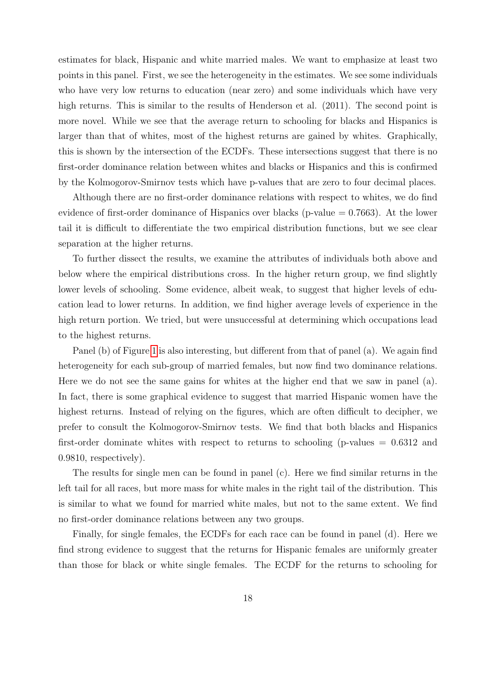estimates for black, Hispanic and white married males. We want to emphasize at least two points in this panel. First, we see the heterogeneity in the estimates. We see some individuals who have very low returns to education (near zero) and some individuals which have very high returns. This is similar to the results of Henderson et al. (2011). The second point is more novel. While we see that the average return to schooling for blacks and Hispanics is larger than that of whites, most of the highest returns are gained by whites. Graphically, this is shown by the intersection of the ECDFs. These intersections suggest that there is no first-order dominance relation between whites and blacks or Hispanics and this is confirmed by the Kolmogorov-Smirnov tests which have p-values that are zero to four decimal places.

Although there are no first-order dominance relations with respect to whites, we do find evidence of first-order dominance of Hispanics over blacks (p-value  $= 0.7663$ ). At the lower tail it is difficult to differentiate the two empirical distribution functions, but we see clear separation at the higher returns.

To further dissect the results, we examine the attributes of individuals both above and below where the empirical distributions cross. In the higher return group, we find slightly lower levels of schooling. Some evidence, albeit weak, to suggest that higher levels of education lead to lower returns. In addition, we find higher average levels of experience in the high return portion. We tried, but were unsuccessful at determining which occupations lead to the highest returns.

Panel (b) of Figure [1](#page-32-0) is also interesting, but different from that of panel (a). We again find heterogeneity for each sub-group of married females, but now find two dominance relations. Here we do not see the same gains for whites at the higher end that we saw in panel (a). In fact, there is some graphical evidence to suggest that married Hispanic women have the highest returns. Instead of relying on the figures, which are often difficult to decipher, we prefer to consult the Kolmogorov-Smirnov tests. We find that both blacks and Hispanics first-order dominate whites with respect to returns to schooling (p-values  $= 0.6312$  and 0.9810, respectively).

The results for single men can be found in panel (c). Here we find similar returns in the left tail for all races, but more mass for white males in the right tail of the distribution. This is similar to what we found for married white males, but not to the same extent. We find no first-order dominance relations between any two groups.

Finally, for single females, the ECDFs for each race can be found in panel (d). Here we find strong evidence to suggest that the returns for Hispanic females are uniformly greater than those for black or white single females. The ECDF for the returns to schooling for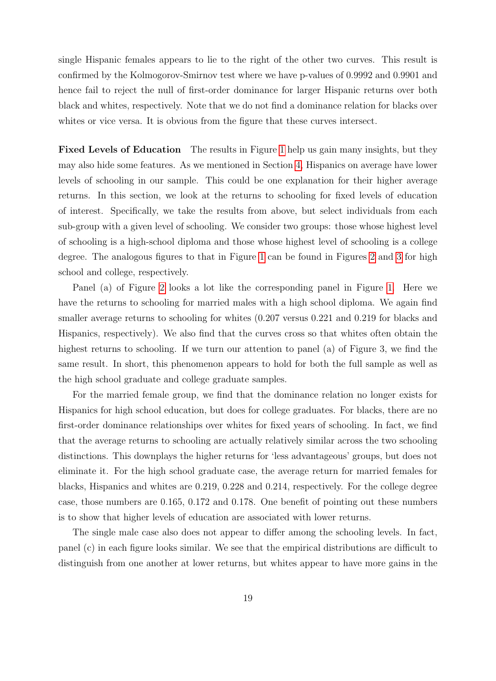single Hispanic females appears to lie to the right of the other two curves. This result is confirmed by the Kolmogorov-Smirnov test where we have p-values of 0.9992 and 0.9901 and hence fail to reject the null of first-order dominance for larger Hispanic returns over both black and whites, respectively. Note that we do not find a dominance relation for blacks over whites or vice versa. It is obvious from the figure that these curves intersect.

Fixed Levels of Education The results in Figure [1](#page-32-0) help us gain many insights, but they may also hide some features. As we mentioned in Section [4,](#page-12-0) Hispanics on average have lower levels of schooling in our sample. This could be one explanation for their higher average returns. In this section, we look at the returns to schooling for fixed levels of education of interest. Specifically, we take the results from above, but select individuals from each sub-group with a given level of schooling. We consider two groups: those whose highest level of schooling is a high-school diploma and those whose highest level of schooling is a college degree. The analogous figures to that in Figure [1](#page-32-0) can be found in Figures [2](#page-33-0) and [3](#page-34-0) for high school and college, respectively.

Panel (a) of Figure [2](#page-33-0) looks a lot like the corresponding panel in Figure [1.](#page-32-0) Here we have the returns to schooling for married males with a high school diploma. We again find smaller average returns to schooling for whites (0.207 versus 0.221 and 0.219 for blacks and Hispanics, respectively). We also find that the curves cross so that whites often obtain the highest returns to schooling. If we turn our attention to panel (a) of Figure 3, we find the same result. In short, this phenomenon appears to hold for both the full sample as well as the high school graduate and college graduate samples.

For the married female group, we find that the dominance relation no longer exists for Hispanics for high school education, but does for college graduates. For blacks, there are no first-order dominance relationships over whites for fixed years of schooling. In fact, we find that the average returns to schooling are actually relatively similar across the two schooling distinctions. This downplays the higher returns for 'less advantageous' groups, but does not eliminate it. For the high school graduate case, the average return for married females for blacks, Hispanics and whites are 0.219, 0.228 and 0.214, respectively. For the college degree case, those numbers are 0.165, 0.172 and 0.178. One benefit of pointing out these numbers is to show that higher levels of education are associated with lower returns.

The single male case also does not appear to differ among the schooling levels. In fact, panel (c) in each figure looks similar. We see that the empirical distributions are difficult to distinguish from one another at lower returns, but whites appear to have more gains in the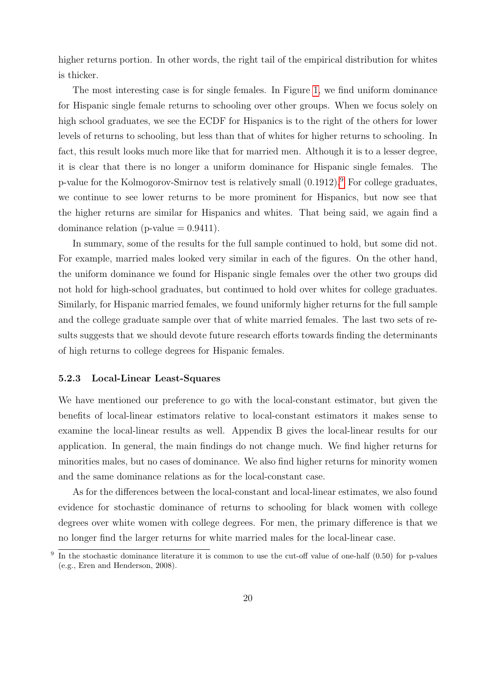higher returns portion. In other words, the right tail of the empirical distribution for whites is thicker.

The most interesting case is for single females. In Figure [1,](#page-32-0) we find uniform dominance for Hispanic single female returns to schooling over other groups. When we focus solely on high school graduates, we see the ECDF for Hispanics is to the right of the others for lower levels of returns to schooling, but less than that of whites for higher returns to schooling. In fact, this result looks much more like that for married men. Although it is to a lesser degree, it is clear that there is no longer a uniform dominance for Hispanic single females. The p-value for the Kolmogorov-Smirnov test is relatively small  $(0.1912)$  $(0.1912)$  $(0.1912)$ .<sup>9</sup> For college graduates, we continue to see lower returns to be more prominent for Hispanics, but now see that the higher returns are similar for Hispanics and whites. That being said, we again find a dominance relation (p-value  $= 0.9411$ ).

In summary, some of the results for the full sample continued to hold, but some did not. For example, married males looked very similar in each of the figures. On the other hand, the uniform dominance we found for Hispanic single females over the other two groups did not hold for high-school graduates, but continued to hold over whites for college graduates. Similarly, for Hispanic married females, we found uniformly higher returns for the full sample and the college graduate sample over that of white married females. The last two sets of results suggests that we should devote future research efforts towards finding the determinants of high returns to college degrees for Hispanic females.

#### <span id="page-21-0"></span>5.2.3 Local-Linear Least-Squares

We have mentioned our preference to go with the local-constant estimator, but given the benefits of local-linear estimators relative to local-constant estimators it makes sense to examine the local-linear results as well. Appendix B gives the local-linear results for our application. In general, the main findings do not change much. We find higher returns for minorities males, but no cases of dominance. We also find higher returns for minority women and the same dominance relations as for the local-constant case.

As for the differences between the local-constant and local-linear estimates, we also found evidence for stochastic dominance of returns to schooling for black women with college degrees over white women with college degrees. For men, the primary difference is that we no longer find the larger returns for white married males for the local-linear case.

<sup>&</sup>lt;sup>9</sup> In the stochastic dominance literature it is common to use the cut-off value of one-half (0.50) for p-values (e.g., Eren and Henderson, 2008).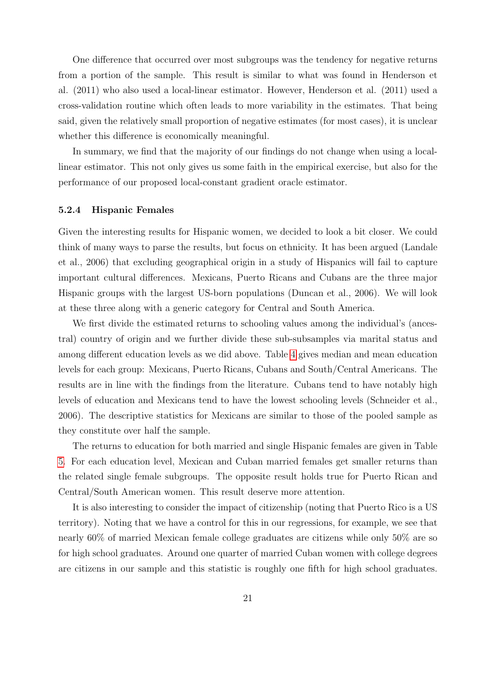One difference that occurred over most subgroups was the tendency for negative returns from a portion of the sample. This result is similar to what was found in Henderson et al. (2011) who also used a local-linear estimator. However, Henderson et al. (2011) used a cross-validation routine which often leads to more variability in the estimates. That being said, given the relatively small proportion of negative estimates (for most cases), it is unclear whether this difference is economically meaningful.

In summary, we find that the majority of our findings do not change when using a locallinear estimator. This not only gives us some faith in the empirical exercise, but also for the performance of our proposed local-constant gradient oracle estimator.

#### 5.2.4 Hispanic Females

Given the interesting results for Hispanic women, we decided to look a bit closer. We could think of many ways to parse the results, but focus on ethnicity. It has been argued (Landale et al., 2006) that excluding geographical origin in a study of Hispanics will fail to capture important cultural differences. Mexicans, Puerto Ricans and Cubans are the three major Hispanic groups with the largest US-born populations (Duncan et al., 2006). We will look at these three along with a generic category for Central and South America.

We first divide the estimated returns to schooling values among the individual's (ancestral) country of origin and we further divide these sub-subsamples via marital status and among different education levels as we did above. Table [4](#page-38-0) gives median and mean education levels for each group: Mexicans, Puerto Ricans, Cubans and South/Central Americans. The results are in line with the findings from the literature. Cubans tend to have notably high levels of education and Mexicans tend to have the lowest schooling levels (Schneider et al., 2006). The descriptive statistics for Mexicans are similar to those of the pooled sample as they constitute over half the sample.

The returns to education for both married and single Hispanic females are given in Table [5.](#page-39-0) For each education level, Mexican and Cuban married females get smaller returns than the related single female subgroups. The opposite result holds true for Puerto Rican and Central/South American women. This result deserve more attention.

It is also interesting to consider the impact of citizenship (noting that Puerto Rico is a US territory). Noting that we have a control for this in our regressions, for example, we see that nearly 60% of married Mexican female college graduates are citizens while only 50% are so for high school graduates. Around one quarter of married Cuban women with college degrees are citizens in our sample and this statistic is roughly one fifth for high school graduates.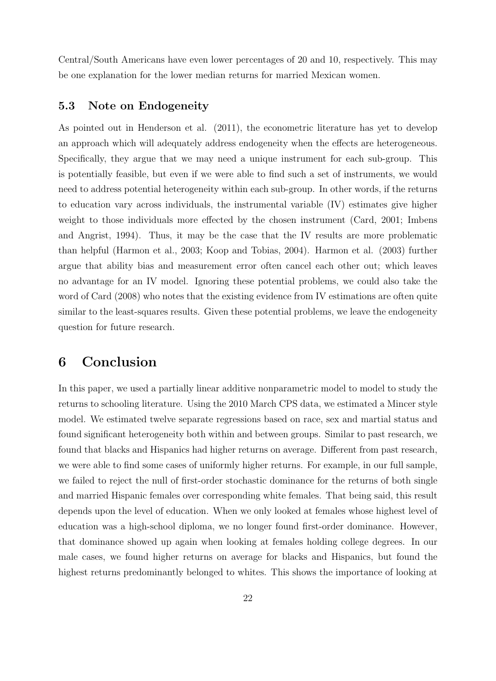Central/South Americans have even lower percentages of 20 and 10, respectively. This may be one explanation for the lower median returns for married Mexican women.

### 5.3 Note on Endogeneity

As pointed out in Henderson et al. (2011), the econometric literature has yet to develop an approach which will adequately address endogeneity when the effects are heterogeneous. Specifically, they argue that we may need a unique instrument for each sub-group. This is potentially feasible, but even if we were able to find such a set of instruments, we would need to address potential heterogeneity within each sub-group. In other words, if the returns to education vary across individuals, the instrumental variable (IV) estimates give higher weight to those individuals more effected by the chosen instrument (Card, 2001; Imbens and Angrist, 1994). Thus, it may be the case that the IV results are more problematic than helpful (Harmon et al., 2003; Koop and Tobias, 2004). Harmon et al. (2003) further argue that ability bias and measurement error often cancel each other out; which leaves no advantage for an IV model. Ignoring these potential problems, we could also take the word of Card (2008) who notes that the existing evidence from IV estimations are often quite similar to the least-squares results. Given these potential problems, we leave the endogeneity question for future research.

## 6 Conclusion

In this paper, we used a partially linear additive nonparametric model to model to study the returns to schooling literature. Using the 2010 March CPS data, we estimated a Mincer style model. We estimated twelve separate regressions based on race, sex and martial status and found significant heterogeneity both within and between groups. Similar to past research, we found that blacks and Hispanics had higher returns on average. Different from past research, we were able to find some cases of uniformly higher returns. For example, in our full sample, we failed to reject the null of first-order stochastic dominance for the returns of both single and married Hispanic females over corresponding white females. That being said, this result depends upon the level of education. When we only looked at females whose highest level of education was a high-school diploma, we no longer found first-order dominance. However, that dominance showed up again when looking at females holding college degrees. In our male cases, we found higher returns on average for blacks and Hispanics, but found the highest returns predominantly belonged to whites. This shows the importance of looking at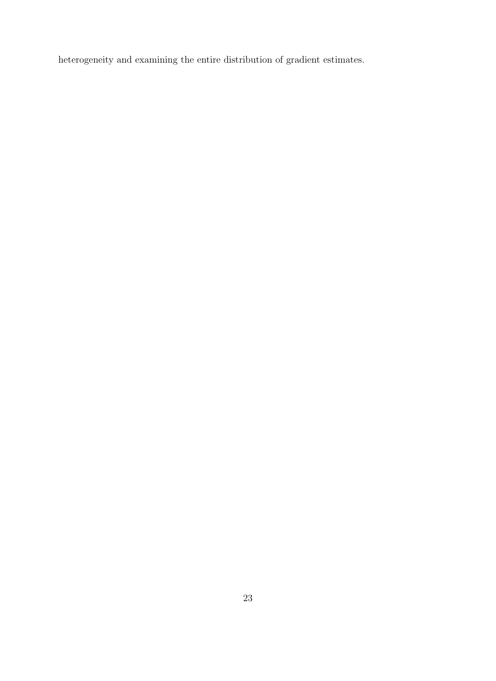heterogeneity and examining the entire distribution of gradient estimates.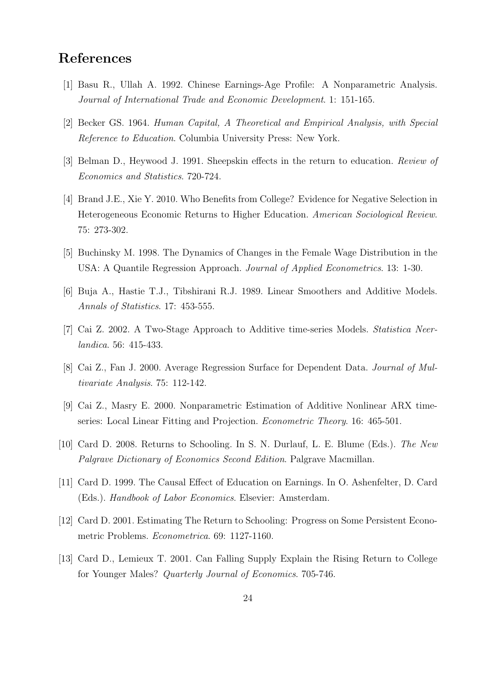## References

- [1] Basu R., Ullah A. 1992. Chinese Earnings-Age Profile: A Nonparametric Analysis. Journal of International Trade and Economic Development. 1: 151-165.
- [2] Becker GS. 1964. Human Capital, A Theoretical and Empirical Analysis, with Special Reference to Education. Columbia University Press: New York.
- [3] Belman D., Heywood J. 1991. Sheepskin effects in the return to education. Review of Economics and Statistics. 720-724.
- [4] Brand J.E., Xie Y. 2010. Who Benefits from College? Evidence for Negative Selection in Heterogeneous Economic Returns to Higher Education. American Sociological Review. 75: 273-302.
- [5] Buchinsky M. 1998. The Dynamics of Changes in the Female Wage Distribution in the USA: A Quantile Regression Approach. Journal of Applied Econometrics. 13: 1-30.
- [6] Buja A., Hastie T.J., Tibshirani R.J. 1989. Linear Smoothers and Additive Models. Annals of Statistics. 17: 453-555.
- [7] Cai Z. 2002. A Two-Stage Approach to Additive time-series Models. Statistica Neerlandica. 56: 415-433.
- [8] Cai Z., Fan J. 2000. Average Regression Surface for Dependent Data. Journal of Multivariate Analysis. 75: 112-142.
- [9] Cai Z., Masry E. 2000. Nonparametric Estimation of Additive Nonlinear ARX timeseries: Local Linear Fitting and Projection. Econometric Theory. 16: 465-501.
- [10] Card D. 2008. Returns to Schooling. In S. N. Durlauf, L. E. Blume (Eds.). The New Palgrave Dictionary of Economics Second Edition. Palgrave Macmillan.
- [11] Card D. 1999. The Causal Effect of Education on Earnings. In O. Ashenfelter, D. Card (Eds.). Handbook of Labor Economics. Elsevier: Amsterdam.
- [12] Card D. 2001. Estimating The Return to Schooling: Progress on Some Persistent Econometric Problems. Econometrica. 69: 1127-1160.
- [13] Card D., Lemieux T. 2001. Can Falling Supply Explain the Rising Return to College for Younger Males? Quarterly Journal of Economics. 705-746.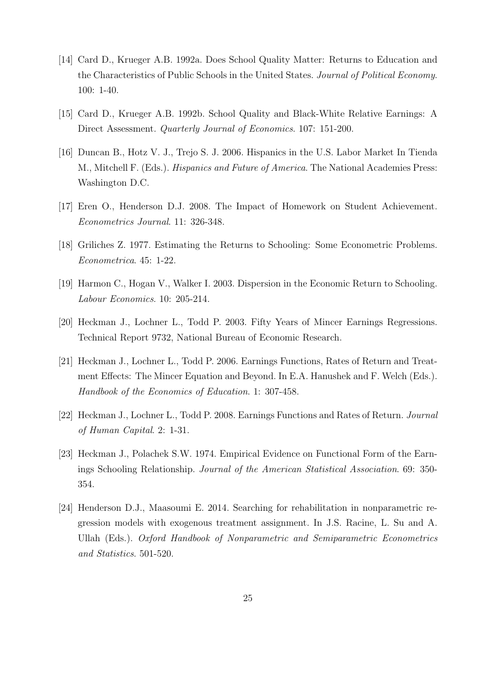- [14] Card D., Krueger A.B. 1992a. Does School Quality Matter: Returns to Education and the Characteristics of Public Schools in the United States. Journal of Political Economy. 100: 1-40.
- [15] Card D., Krueger A.B. 1992b. School Quality and Black-White Relative Earnings: A Direct Assessment. *Quarterly Journal of Economics*. 107: 151-200.
- [16] Duncan B., Hotz V. J., Trejo S. J. 2006. Hispanics in the U.S. Labor Market In Tienda M., Mitchell F. (Eds.). *Hispanics and Future of America*. The National Academies Press: Washington D.C.
- [17] Eren O., Henderson D.J. 2008. The Impact of Homework on Student Achievement. Econometrics Journal. 11: 326-348.
- [18] Griliches Z. 1977. Estimating the Returns to Schooling: Some Econometric Problems. Econometrica. 45: 1-22.
- [19] Harmon C., Hogan V., Walker I. 2003. Dispersion in the Economic Return to Schooling. Labour Economics. 10: 205-214.
- [20] Heckman J., Lochner L., Todd P. 2003. Fifty Years of Mincer Earnings Regressions. Technical Report 9732, National Bureau of Economic Research.
- [21] Heckman J., Lochner L., Todd P. 2006. Earnings Functions, Rates of Return and Treatment Effects: The Mincer Equation and Beyond. In E.A. Hanushek and F. Welch (Eds.). Handbook of the Economics of Education. 1: 307-458.
- [22] Heckman J., Lochner L., Todd P. 2008. Earnings Functions and Rates of Return. Journal of Human Capital. 2: 1-31.
- [23] Heckman J., Polachek S.W. 1974. Empirical Evidence on Functional Form of the Earnings Schooling Relationship. Journal of the American Statistical Association. 69: 350- 354.
- [24] Henderson D.J., Maasoumi E. 2014. Searching for rehabilitation in nonparametric regression models with exogenous treatment assignment. In J.S. Racine, L. Su and A. Ullah (Eds.). Oxford Handbook of Nonparametric and Semiparametric Econometrics and Statistics. 501-520.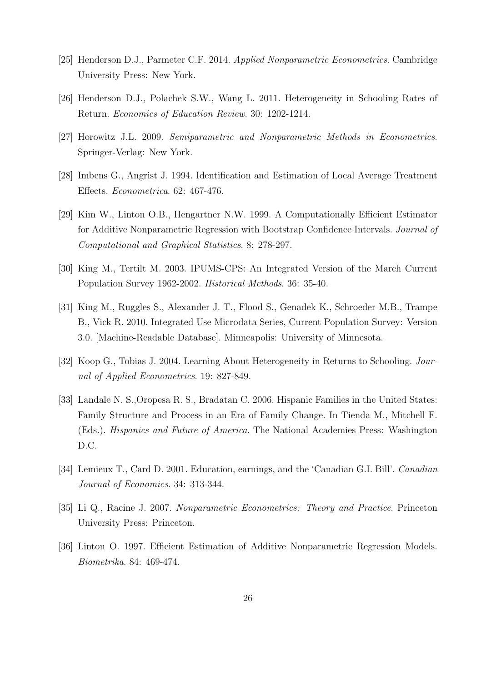- [25] Henderson D.J., Parmeter C.F. 2014. Applied Nonparametric Econometrics. Cambridge University Press: New York.
- [26] Henderson D.J., Polachek S.W., Wang L. 2011. Heterogeneity in Schooling Rates of Return. Economics of Education Review. 30: 1202-1214.
- [27] Horowitz J.L. 2009. Semiparametric and Nonparametric Methods in Econometrics. Springer-Verlag: New York.
- [28] Imbens G., Angrist J. 1994. Identification and Estimation of Local Average Treatment Effects. Econometrica. 62: 467-476.
- [29] Kim W., Linton O.B., Hengartner N.W. 1999. A Computationally Efficient Estimator for Additive Nonparametric Regression with Bootstrap Confidence Intervals. Journal of Computational and Graphical Statistics. 8: 278-297.
- [30] King M., Tertilt M. 2003. IPUMS-CPS: An Integrated Version of the March Current Population Survey 1962-2002. Historical Methods. 36: 35-40.
- [31] King M., Ruggles S., Alexander J. T., Flood S., Genadek K., Schroeder M.B., Trampe B., Vick R. 2010. Integrated Use Microdata Series, Current Population Survey: Version 3.0. [Machine-Readable Database]. Minneapolis: University of Minnesota.
- [32] Koop G., Tobias J. 2004. Learning About Heterogeneity in Returns to Schooling. Journal of Applied Econometrics. 19: 827-849.
- [33] Landale N. S.,Oropesa R. S., Bradatan C. 2006. Hispanic Families in the United States: Family Structure and Process in an Era of Family Change. In Tienda M., Mitchell F. (Eds.). Hispanics and Future of America. The National Academies Press: Washington D.C.
- [34] Lemieux T., Card D. 2001. Education, earnings, and the 'Canadian G.I. Bill'. Canadian Journal of Economics. 34: 313-344.
- [35] Li Q., Racine J. 2007. Nonparametric Econometrics: Theory and Practice. Princeton University Press: Princeton.
- [36] Linton O. 1997. Efficient Estimation of Additive Nonparametric Regression Models. Biometrika. 84: 469-474.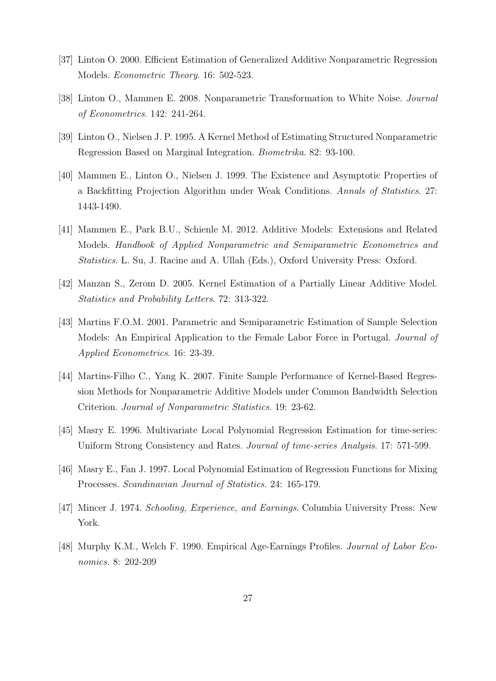- [37] Linton O. 2000. Efficient Estimation of Generalized Additive Nonparametric Regression Models. Econometric Theory. 16: 502-523.
- [38] Linton O., Mammen E. 2008. Nonparametric Transformation to White Noise. Journal of Econometrics. 142: 241-264.
- [39] Linton O., Nielsen J. P. 1995. A Kernel Method of Estimating Structured Nonparametric Regression Based on Marginal Integration. Biometrika. 82: 93-100.
- [40] Mammen E., Linton O., Nielsen J. 1999. The Existence and Asymptotic Properties of a Backfitting Projection Algorithm under Weak Conditions. Annals of Statistics. 27: 1443-1490.
- [41] Mammen E., Park B.U., Schienle M. 2012. Additive Models: Extensions and Related Models. Handbook of Applied Nonparametric and Semiparametric Econometrics and Statistics. L. Su, J. Racine and A. Ullah (Eds.), Oxford University Press: Oxford.
- [42] Manzan S., Zerom D. 2005. Kernel Estimation of a Partially Linear Additive Model. Statistics and Probability Letters. 72: 313-322.
- [43] Martins F.O.M. 2001. Parametric and Semiparametric Estimation of Sample Selection Models: An Empirical Application to the Female Labor Force in Portugal. *Journal of* Applied Econometrics. 16: 23-39.
- [44] Martins-Filho C., Yang K. 2007. Finite Sample Performance of Kernel-Based Regression Methods for Nonparametric Additive Models under Common Bandwidth Selection Criterion. Journal of Nonparametric Statistics. 19: 23-62.
- [45] Masry E. 1996. Multivariate Local Polynomial Regression Estimation for time-series: Uniform Strong Consistency and Rates. Journal of time-series Analysis. 17: 571-599.
- [46] Masry E., Fan J. 1997. Local Polynomial Estimation of Regression Functions for Mixing Processes. Scandinavian Journal of Statistics. 24: 165-179.
- [47] Mincer J. 1974. Schooling, Experience, and Earnings. Columbia University Press: New York.
- [48] Murphy K.M., Welch F. 1990. Empirical Age-Earnings Profiles. Journal of Labor Economics. 8: 202-209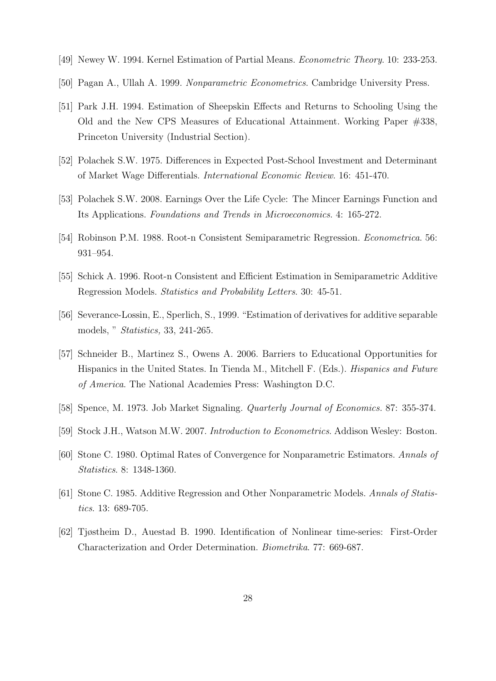- [49] Newey W. 1994. Kernel Estimation of Partial Means. Econometric Theory. 10: 233-253.
- [50] Pagan A., Ullah A. 1999. Nonparametric Econometrics. Cambridge University Press.
- [51] Park J.H. 1994. Estimation of Sheepskin Effects and Returns to Schooling Using the Old and the New CPS Measures of Educational Attainment. Working Paper #338, Princeton University (Industrial Section).
- [52] Polachek S.W. 1975. Differences in Expected Post-School Investment and Determinant of Market Wage Differentials. International Economic Review. 16: 451-470.
- [53] Polachek S.W. 2008. Earnings Over the Life Cycle: The Mincer Earnings Function and Its Applications. Foundations and Trends in Microeconomics. 4: 165-272.
- [54] Robinson P.M. 1988. Root-n Consistent Semiparametric Regression. Econometrica. 56: 931–954.
- [55] Schick A. 1996. Root-n Consistent and Efficient Estimation in Semiparametric Additive Regression Models. Statistics and Probability Letters. 30: 45-51.
- [56] Severance-Lossin, E., Sperlich, S., 1999. "Estimation of derivatives for additive separable models, " Statistics, 33, 241-265.
- [57] Schneider B., Martinez S., Owens A. 2006. Barriers to Educational Opportunities for Hispanics in the United States. In Tienda M., Mitchell F. (Eds.). Hispanics and Future of America. The National Academies Press: Washington D.C.
- [58] Spence, M. 1973. Job Market Signaling. Quarterly Journal of Economics. 87: 355-374.
- [59] Stock J.H., Watson M.W. 2007. Introduction to Econometrics. Addison Wesley: Boston.
- [60] Stone C. 1980. Optimal Rates of Convergence for Nonparametric Estimators. Annals of Statistics. 8: 1348-1360.
- [61] Stone C. 1985. Additive Regression and Other Nonparametric Models. Annals of Statistics. 13: 689-705.
- [62] Tjøstheim D., Auestad B. 1990. Identification of Nonlinear time-series: First-Order Characterization and Order Determination. Biometrika. 77: 669-687.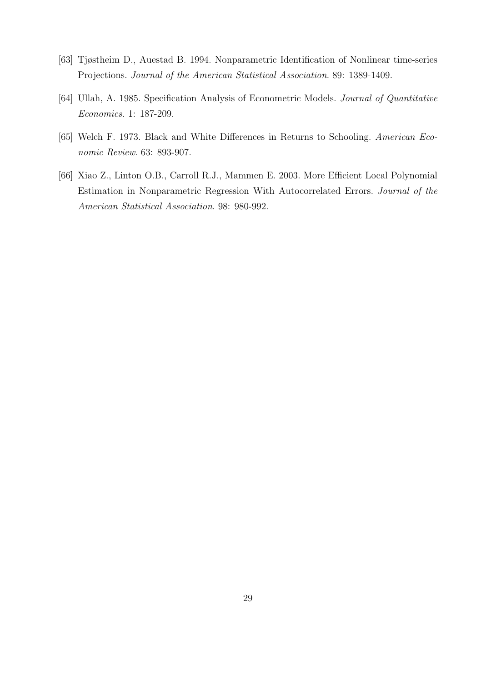- [63] Tjøstheim D., Auestad B. 1994. Nonparametric Identification of Nonlinear time-series Projections. Journal of the American Statistical Association. 89: 1389-1409.
- [64] Ullah, A. 1985. Specification Analysis of Econometric Models. Journal of Quantitative Economics. 1: 187-209.
- [65] Welch F. 1973. Black and White Differences in Returns to Schooling. American Economic Review. 63: 893-907.
- [66] Xiao Z., Linton O.B., Carroll R.J., Mammen E. 2003. More Efficient Local Polynomial Estimation in Nonparametric Regression With Autocorrelated Errors. Journal of the American Statistical Association. 98: 980-992.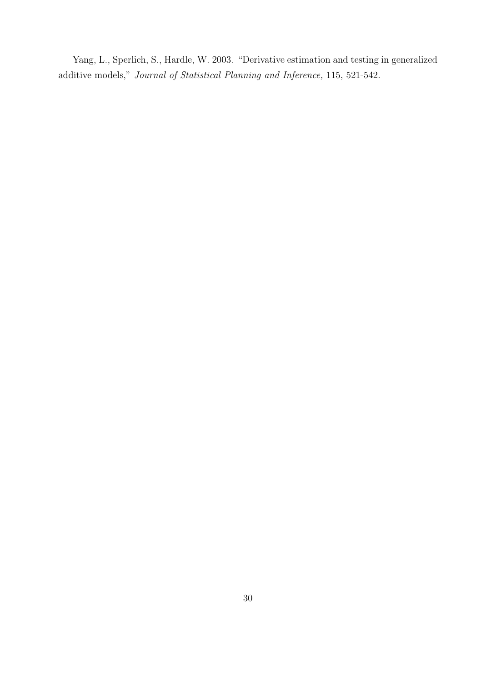Yang, L., Sperlich, S., Hardle, W. 2003. "Derivative estimation and testing in generalized additive models," Journal of Statistical Planning and Inference, 115, 521-542.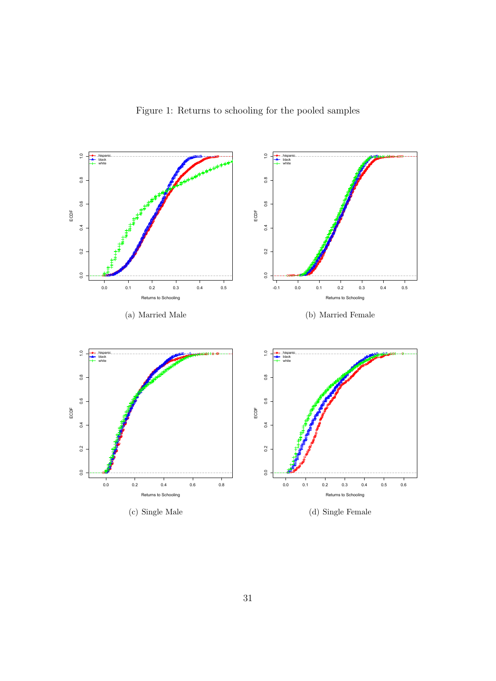<span id="page-32-0"></span>

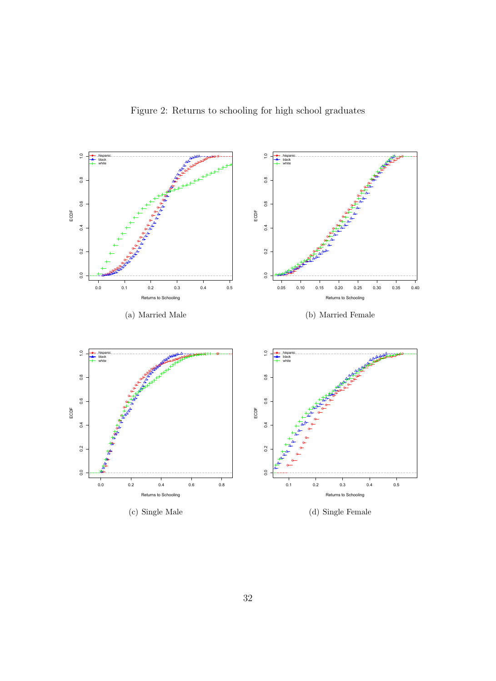<span id="page-33-0"></span>

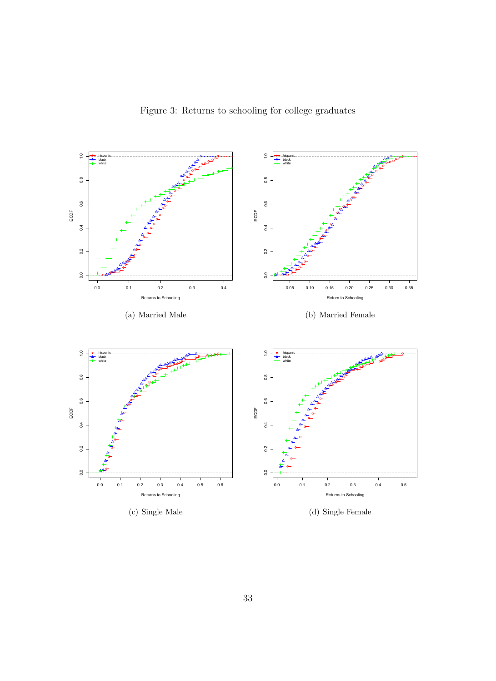<span id="page-34-0"></span>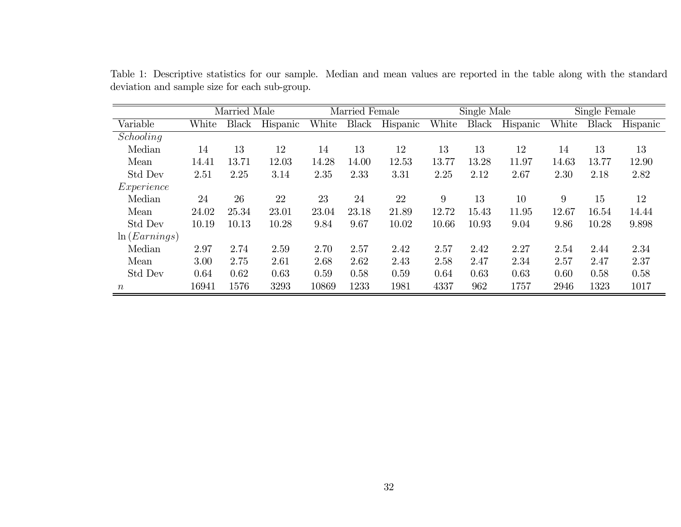|              |       | Married Male |          | Married Female |              |          |       | Single Male  |          | Single Female |              |          |
|--------------|-------|--------------|----------|----------------|--------------|----------|-------|--------------|----------|---------------|--------------|----------|
| Variable     | White | <b>Black</b> | Hispanic | White          | <b>Black</b> | Hispanic | White | <b>Black</b> | Hispanic | White         | <b>Black</b> | Hispanic |
| Schooling    |       |              |          |                |              |          |       |              |          |               |              |          |
| Median       | 14    | 13           | 12       | 14             | 13           | 12       | 13    | 13           | 12       | 14            | 13           | 13       |
| Mean         | 14.41 | 13.71        | 12.03    | 14.28          | 14.00        | 12.53    | 13.77 | 13.28        | 11.97    | 14.63         | 13.77        | 12.90    |
| Std Dev      | 2.51  | 2.25         | 3.14     | 2.35           | 2.33         | 3.31     | 2.25  | 2.12         | 2.67     | 2.30          | 2.18         | 2.82     |
| Experience   |       |              |          |                |              |          |       |              |          |               |              |          |
| Median       | 24    | 26           | 22       | 23             | 24           | 22       | 9     | 13           | 10       | 9             | 15           | 12       |
| Mean         | 24.02 | 25.34        | 23.01    | 23.04          | 23.18        | 21.89    | 12.72 | 15.43        | 11.95    | 12.67         | 16.54        | 14.44    |
| Std Dev      | 10.19 | 10.13        | 10.28    | 9.84           | 9.67         | 10.02    | 10.66 | 10.93        | 9.04     | 9.86          | 10.28        | 9.898    |
| ln(Earnings) |       |              |          |                |              |          |       |              |          |               |              |          |
| Median       | 2.97  | 2.74         | 2.59     | 2.70           | 2.57         | 2.42     | 2.57  | 2.42         | 2.27     | 2.54          | 2.44         | 2.34     |
| Mean         | 3.00  | 2.75         | 2.61     | 2.68           | 2.62         | 2.43     | 2.58  | 2.47         | 2.34     | 2.57          | 2.47         | 2.37     |
| Std Dev      | 0.64  | 0.62         | 0.63     | 0.59           | 0.58         | 0.59     | 0.64  | 0.63         | 0.63     | 0.60          | 0.58         | 0.58     |
| $\, n$       | 16941 | 1576         | 3293     | 10869          | 1233         | 1981     | 4337  | 962          | 1757     | 2946          | 1323         | 1017     |

<span id="page-35-0"></span>Table 1: Descriptive statistics for our sample. Median and mean values are reported in the table along with the standard deviation and sample size for each sub-group.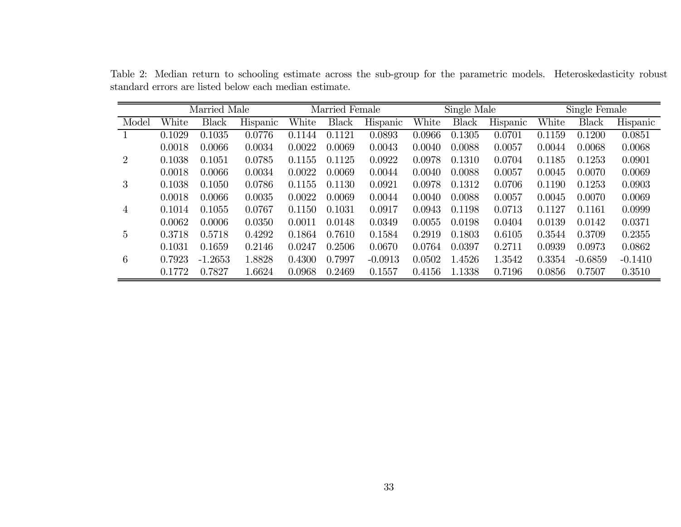|                |        | Married Male |          | Married Female |              |           |        | Single Male  |          | Single Female |              |           |
|----------------|--------|--------------|----------|----------------|--------------|-----------|--------|--------------|----------|---------------|--------------|-----------|
| Model          | White  | <b>Black</b> | Hispanic | White          | <b>Black</b> | Hispanic  | White  | <b>Black</b> | Hispanic | White         | <b>Black</b> | Hispanic  |
|                | 0.1029 | 0.1035       | 0.0776   | 0.1144         | 0.1121       | 0.0893    | 0.0966 | 0.1305       | 0.0701   | 0.1159        | 0.1200       | 0.0851    |
|                | 0.0018 | 0.0066       | 0.0034   | 0.0022         | 0.0069       | 0.0043    | 0.0040 | 0.0088       | 0.0057   | 0.0044        | 0.0068       | 0.0068    |
| $\overline{2}$ | 0.1038 | 0.1051       | 0.0785   | 0.1155         | 0.1125       | 0.0922    | 0.0978 | 0.1310       | 0.0704   | 0.1185        | 0.1253       | 0.0901    |
|                | 0.0018 | 0.0066       | 0.0034   | 0.0022         | 0.0069       | 0.0044    | 0.0040 | 0.0088       | 0.0057   | 0.0045        | 0.0070       | 0.0069    |
| 3              | 0.1038 | 0.1050       | 0.0786   | 0.1155         | 0.1130       | 0.0921    | 0.0978 | 0.1312       | 0.0706   | 0.1190        | 0.1253       | 0.0903    |
|                | 0.0018 | 0.0066       | 0.0035   | 0.0022         | 0.0069       | 0.0044    | 0.0040 | 0.0088       | 0.0057   | 0.0045        | 0.0070       | 0.0069    |
| 4              | 0.1014 | 0.1055       | 0.0767   | 0.1150         | 0.1031       | 0.0917    | 0.0943 | 0.1198       | 0.0713   | 0.1127        | 0.1161       | 0.0999    |
|                | 0.0062 | 0.0006       | 0.0350   | 0.0011         | 0.0148       | 0.0349    | 0.0055 | 0.0198       | 0.0404   | 0.0139        | 0.0142       | 0.0371    |
| 5              | 0.3718 | 0.5718       | 0.4292   | 0.1864         | 0.7610       | 0.1584    | 0.2919 | 0.1803       | 0.6105   | 0.3544        | 0.3709       | 0.2355    |
|                | 0.1031 | 0.1659       | 0.2146   | 0.0247         | 0.2506       | 0.0670    | 0.0764 | 0.0397       | 0.2711   | 0.0939        | 0.0973       | 0.0862    |
| 6              | 0.7923 | $-1.2653$    | 1.8828   | 0.4300         | 0.7997       | $-0.0913$ | 0.0502 | 1.4526       | 1.3542   | 0.3354        | $-0.6859$    | $-0.1410$ |
|                | 0.1772 | 0.7827       | 1.6624   | 0.0968         | 0.2469       | 0.1557    | 0.4156 | 1.1338       | 0.7196   | 0.0856        | 0.7507       | 0.3510    |

<span id="page-36-0"></span>Table 2: Median return to schooling estimate across the sub-group for the parametric models. Heteroskedasticity robust standard errors are listed below each median estimate.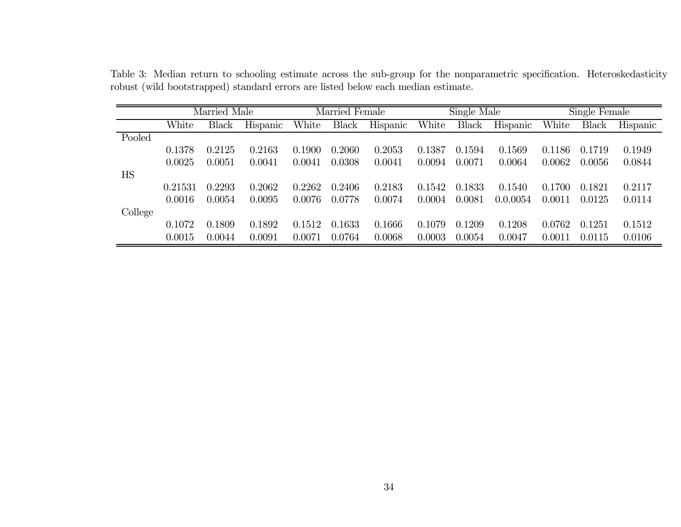|           |         | Married Male |          | Married Female |        |          | Single Male |              |          | Single Female |        |          |
|-----------|---------|--------------|----------|----------------|--------|----------|-------------|--------------|----------|---------------|--------|----------|
|           | White   | <b>Black</b> | Hispanic | White          | Black  | Hispanic | White       | <b>Black</b> | Hispanic | White         | Black  | Hispanic |
| Pooled    |         |              |          |                |        |          |             |              |          |               |        |          |
|           | 0.1378  | 0.2125       | 0.2163   | 0.1900         | 0.2060 | 0.2053   | 0.1387      | 0.1594       | 0.1569   | 0.1186        | 0.1719 | 0.1949   |
|           | 0.0025  | 0.0051       | 0.0041   | 0.0041         | 0.0308 | 0.0041   | 0.0094      | 0.0071       | 0.0064   | 0.0062        | 0.0056 | 0.0844   |
| <b>HS</b> |         |              |          |                |        |          |             |              |          |               |        |          |
|           | 0.21531 | 0.2293       | 0.2062   | 0.2262         | 0.2406 | 0.2183   | 0.1542      | 0.1833       | 0.1540   | 0.1700        | 0.1821 | 0.2117   |
|           | 0.0016  | 0.0054       | 0.0095   | 0.0076         | 0.0778 | 0.0074   | 0.0004      | 0.0081       | 0.0.0054 | 0.0011        | 0.0125 | 0.0114   |
| College   |         |              |          |                |        |          |             |              |          |               |        |          |
|           | 0.1072  | 0.1809       | 0.1892   | 0.1512         | 0.1633 | 0.1666   | 0.1079      | 0.1209       | 0.1208   | 0.0762        | 0.1251 | 0.1512   |
|           | 0.0015  | 0.0044       | 0.0091   | 0.0071         | 0.0764 | 0.0068   | 0.0003      | 0.0054       | 0.0047   | 0.0011        | 0.0115 | 0.0106   |

<span id="page-37-0"></span>Table 3: Median return to schooling estimate across the sub-group for the nonparametric speci fication. Heteroskedasticity robust (wild bootstrapped) standard errors are listed below each median estimate.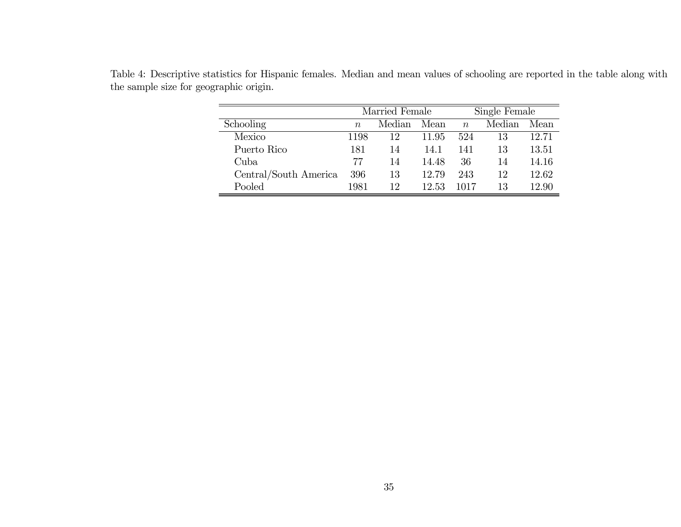|                       |             | Married Female |       | Single Female    |        |       |  |
|-----------------------|-------------|----------------|-------|------------------|--------|-------|--|
| Schooling             | $n_{\rm s}$ | Median         | Mean  | $\boldsymbol{n}$ | Median | Mean  |  |
| Mexico                | 1198        | 12             | 11.95 | 524              | 13     | 12.71 |  |
| Puerto Rico           | 181         | 14             | 14.1  | 141              | 13     | 13.51 |  |
| Cuba                  | 77          | 14             | 14.48 | 36               | 14     | 14.16 |  |
| Central/South America | 396         | 13             | 12.79 | 243              | 12     | 12.62 |  |
| Pooled                | 1981        | 19             | 12.53 | 1017             | 13     | 12.90 |  |

<span id="page-38-0"></span>Table 4: Descriptive statistics for Hispanic females. Median and mean values of schooling are reported in the table along with the sample size for geographic origin.